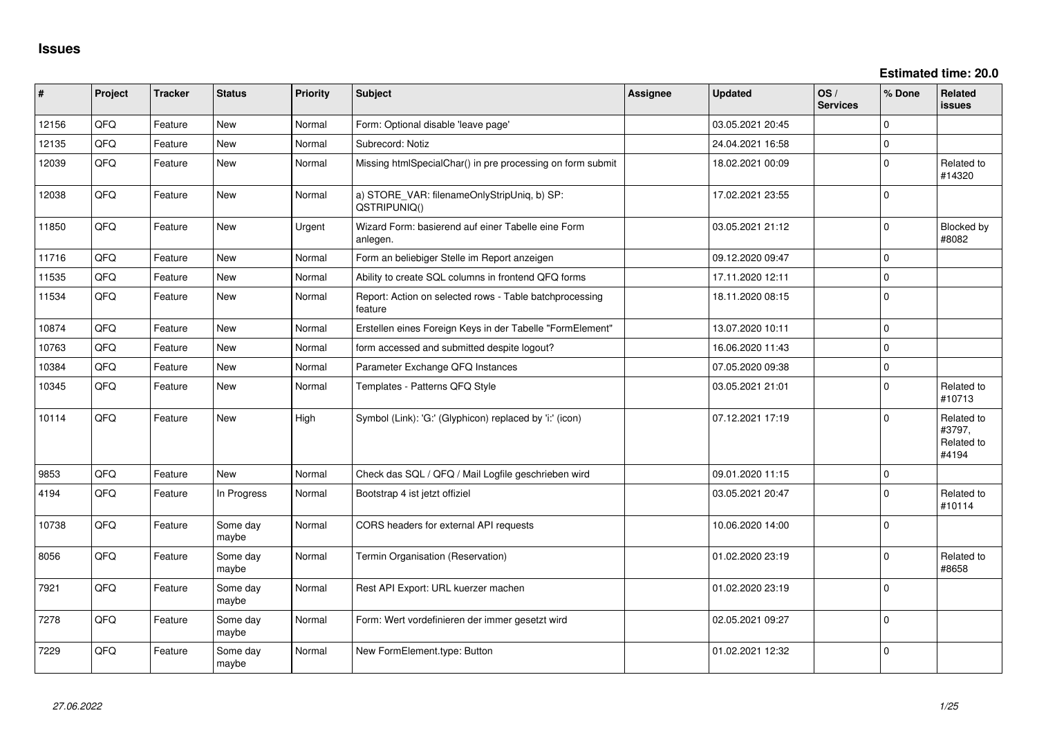**Estimated time: 20.0**

| #     | Project | <b>Tracker</b> | <b>Status</b>     | <b>Priority</b> | <b>Subject</b>                                                     | Assignee | <b>Updated</b>   | OS/<br><b>Services</b> | % Done      | <b>Related</b><br><b>issues</b>             |
|-------|---------|----------------|-------------------|-----------------|--------------------------------------------------------------------|----------|------------------|------------------------|-------------|---------------------------------------------|
| 12156 | QFQ     | Feature        | New               | Normal          | Form: Optional disable 'leave page'                                |          | 03.05.2021 20:45 |                        | $\Omega$    |                                             |
| 12135 | QFQ     | Feature        | <b>New</b>        | Normal          | Subrecord: Notiz                                                   |          | 24.04.2021 16:58 |                        | $\Omega$    |                                             |
| 12039 | QFQ     | Feature        | New               | Normal          | Missing htmlSpecialChar() in pre processing on form submit         |          | 18.02.2021 00:09 |                        | $\Omega$    | Related to<br>#14320                        |
| 12038 | QFQ     | Feature        | <b>New</b>        | Normal          | a) STORE_VAR: filenameOnlyStripUniq, b) SP:<br>QSTRIPUNIQ()        |          | 17.02.2021 23:55 |                        | $\Omega$    |                                             |
| 11850 | QFQ     | Feature        | New               | Urgent          | Wizard Form: basierend auf einer Tabelle eine Form<br>anlegen.     |          | 03.05.2021 21:12 |                        | $\Omega$    | Blocked by<br>#8082                         |
| 11716 | QFQ     | Feature        | <b>New</b>        | Normal          | Form an beliebiger Stelle im Report anzeigen                       |          | 09.12.2020 09:47 |                        | $\Omega$    |                                             |
| 11535 | QFQ     | Feature        | <b>New</b>        | Normal          | Ability to create SQL columns in frontend QFQ forms                |          | 17.11.2020 12:11 |                        | $\mathbf 0$ |                                             |
| 11534 | QFQ     | Feature        | New               | Normal          | Report: Action on selected rows - Table batchprocessing<br>feature |          | 18.11.2020 08:15 |                        | $\Omega$    |                                             |
| 10874 | QFQ     | Feature        | New               | Normal          | Erstellen eines Foreign Keys in der Tabelle "FormElement"          |          | 13.07.2020 10:11 |                        | $\Omega$    |                                             |
| 10763 | QFQ     | Feature        | <b>New</b>        | Normal          | form accessed and submitted despite logout?                        |          | 16.06.2020 11:43 |                        | $\Omega$    |                                             |
| 10384 | QFQ     | Feature        | New               | Normal          | Parameter Exchange QFQ Instances                                   |          | 07.05.2020 09:38 |                        | $\Omega$    |                                             |
| 10345 | QFQ     | Feature        | New               | Normal          | Templates - Patterns QFQ Style                                     |          | 03.05.2021 21:01 |                        | $\Omega$    | Related to<br>#10713                        |
| 10114 | QFQ     | Feature        | New               | High            | Symbol (Link): 'G:' (Glyphicon) replaced by 'i:' (icon)            |          | 07.12.2021 17:19 |                        | $\Omega$    | Related to<br>#3797,<br>Related to<br>#4194 |
| 9853  | QFQ     | Feature        | New               | Normal          | Check das SQL / QFQ / Mail Logfile geschrieben wird                |          | 09.01.2020 11:15 |                        | $\mathbf 0$ |                                             |
| 4194  | QFQ     | Feature        | In Progress       | Normal          | Bootstrap 4 ist jetzt offiziel                                     |          | 03.05.2021 20:47 |                        | $\Omega$    | Related to<br>#10114                        |
| 10738 | QFQ     | Feature        | Some day<br>maybe | Normal          | CORS headers for external API requests                             |          | 10.06.2020 14:00 |                        | $\mathbf 0$ |                                             |
| 8056  | QFQ     | Feature        | Some day<br>maybe | Normal          | Termin Organisation (Reservation)                                  |          | 01.02.2020 23:19 |                        | $\Omega$    | Related to<br>#8658                         |
| 7921  | QFQ     | Feature        | Some day<br>maybe | Normal          | Rest API Export: URL kuerzer machen                                |          | 01.02.2020 23:19 |                        | $\Omega$    |                                             |
| 7278  | QFQ     | Feature        | Some day<br>maybe | Normal          | Form: Wert vordefinieren der immer gesetzt wird                    |          | 02.05.2021 09:27 |                        | 0           |                                             |
| 7229  | QFQ     | Feature        | Some day<br>maybe | Normal          | New FormElement.type: Button                                       |          | 01.02.2021 12:32 |                        | $\mathbf 0$ |                                             |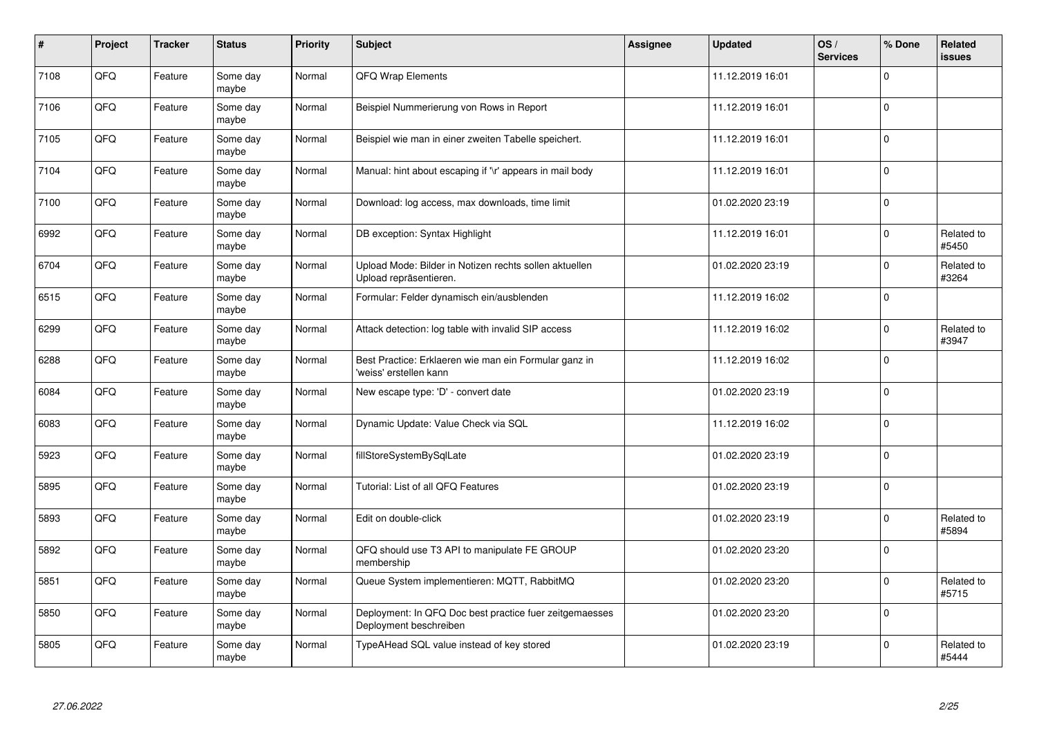| $\vert$ # | Project | <b>Tracker</b> | <b>Status</b>     | <b>Priority</b> | <b>Subject</b>                                                                    | Assignee | <b>Updated</b>   | OS/<br><b>Services</b> | % Done      | Related<br>issues   |
|-----------|---------|----------------|-------------------|-----------------|-----------------------------------------------------------------------------------|----------|------------------|------------------------|-------------|---------------------|
| 7108      | QFQ     | Feature        | Some day<br>maybe | Normal          | QFQ Wrap Elements                                                                 |          | 11.12.2019 16:01 |                        | $\Omega$    |                     |
| 7106      | QFQ     | Feature        | Some day<br>maybe | Normal          | Beispiel Nummerierung von Rows in Report                                          |          | 11.12.2019 16:01 |                        | $\Omega$    |                     |
| 7105      | QFQ     | Feature        | Some day<br>maybe | Normal          | Beispiel wie man in einer zweiten Tabelle speichert.                              |          | 11.12.2019 16:01 |                        | 0           |                     |
| 7104      | QFQ     | Feature        | Some day<br>maybe | Normal          | Manual: hint about escaping if '\r' appears in mail body                          |          | 11.12.2019 16:01 |                        | $\Omega$    |                     |
| 7100      | QFQ     | Feature        | Some day<br>maybe | Normal          | Download: log access, max downloads, time limit                                   |          | 01.02.2020 23:19 |                        | l 0         |                     |
| 6992      | QFQ     | Feature        | Some day<br>maybe | Normal          | DB exception: Syntax Highlight                                                    |          | 11.12.2019 16:01 |                        | $\Omega$    | Related to<br>#5450 |
| 6704      | QFQ     | Feature        | Some day<br>maybe | Normal          | Upload Mode: Bilder in Notizen rechts sollen aktuellen<br>Upload repräsentieren.  |          | 01.02.2020 23:19 |                        | $\Omega$    | Related to<br>#3264 |
| 6515      | QFQ     | Feature        | Some day<br>maybe | Normal          | Formular: Felder dynamisch ein/ausblenden                                         |          | 11.12.2019 16:02 |                        | $\Omega$    |                     |
| 6299      | QFQ     | Feature        | Some day<br>maybe | Normal          | Attack detection: log table with invalid SIP access                               |          | 11.12.2019 16:02 |                        | $\Omega$    | Related to<br>#3947 |
| 6288      | QFQ     | Feature        | Some day<br>maybe | Normal          | Best Practice: Erklaeren wie man ein Formular ganz in<br>'weiss' erstellen kann   |          | 11.12.2019 16:02 |                        | $\Omega$    |                     |
| 6084      | QFQ     | Feature        | Some day<br>maybe | Normal          | New escape type: 'D' - convert date                                               |          | 01.02.2020 23:19 |                        | $\mathbf 0$ |                     |
| 6083      | QFQ     | Feature        | Some day<br>maybe | Normal          | Dynamic Update: Value Check via SQL                                               |          | 11.12.2019 16:02 |                        | $\mathbf 0$ |                     |
| 5923      | QFQ     | Feature        | Some day<br>maybe | Normal          | fillStoreSystemBySqlLate                                                          |          | 01.02.2020 23:19 |                        | $\Omega$    |                     |
| 5895      | QFQ     | Feature        | Some day<br>maybe | Normal          | Tutorial: List of all QFQ Features                                                |          | 01.02.2020 23:19 |                        | $\mathbf 0$ |                     |
| 5893      | QFQ     | Feature        | Some day<br>maybe | Normal          | Edit on double-click                                                              |          | 01.02.2020 23:19 |                        | $\Omega$    | Related to<br>#5894 |
| 5892      | QFQ     | Feature        | Some day<br>maybe | Normal          | QFQ should use T3 API to manipulate FE GROUP<br>membership                        |          | 01.02.2020 23:20 |                        | $\Omega$    |                     |
| 5851      | QFQ     | Feature        | Some day<br>maybe | Normal          | Queue System implementieren: MQTT, RabbitMQ                                       |          | 01.02.2020 23:20 |                        | $\Omega$    | Related to<br>#5715 |
| 5850      | QFQ     | Feature        | Some day<br>maybe | Normal          | Deployment: In QFQ Doc best practice fuer zeitgemaesses<br>Deployment beschreiben |          | 01.02.2020 23:20 |                        | $\mathbf 0$ |                     |
| 5805      | QFQ     | Feature        | Some day<br>maybe | Normal          | TypeAHead SQL value instead of key stored                                         |          | 01.02.2020 23:19 |                        | $\Omega$    | Related to<br>#5444 |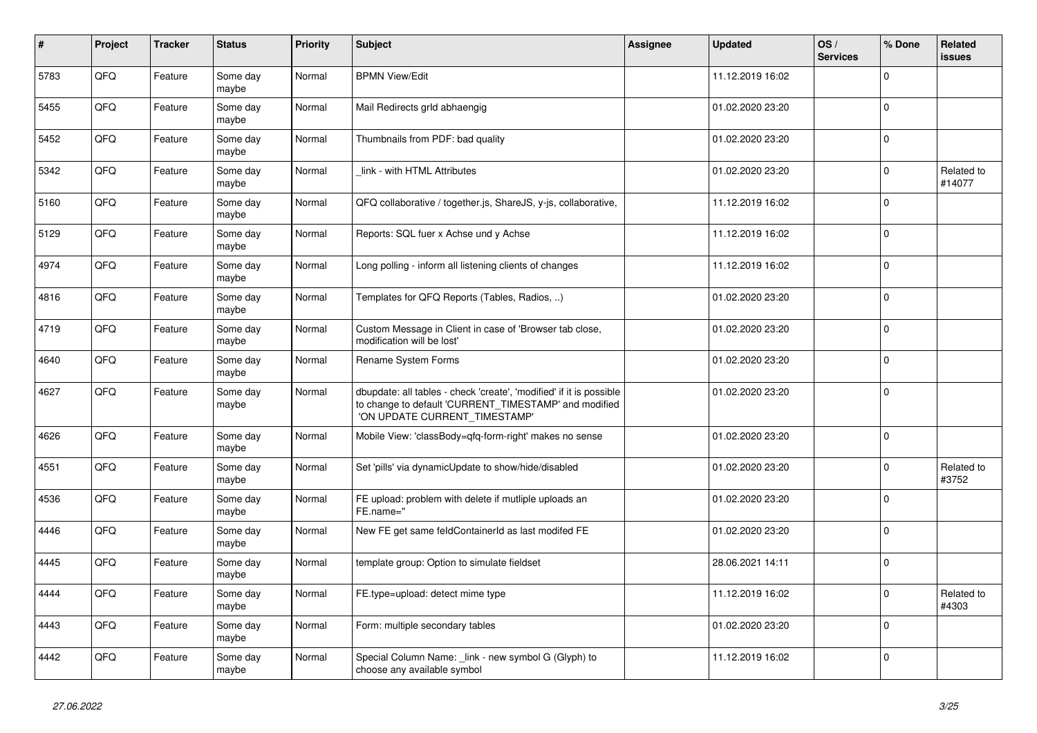| #    | Project | <b>Tracker</b> | <b>Status</b>     | <b>Priority</b> | <b>Subject</b>                                                                                                                                                | Assignee | <b>Updated</b>   | OS/<br><b>Services</b> | % Done       | <b>Related</b><br><b>issues</b> |
|------|---------|----------------|-------------------|-----------------|---------------------------------------------------------------------------------------------------------------------------------------------------------------|----------|------------------|------------------------|--------------|---------------------------------|
| 5783 | QFQ     | Feature        | Some day<br>maybe | Normal          | <b>BPMN View/Edit</b>                                                                                                                                         |          | 11.12.2019 16:02 |                        | $\Omega$     |                                 |
| 5455 | QFQ     | Feature        | Some day<br>maybe | Normal          | Mail Redirects grld abhaengig                                                                                                                                 |          | 01.02.2020 23:20 |                        | $\Omega$     |                                 |
| 5452 | QFQ     | Feature        | Some day<br>maybe | Normal          | Thumbnails from PDF: bad quality                                                                                                                              |          | 01.02.2020 23:20 |                        | l n          |                                 |
| 5342 | QFQ     | Feature        | Some day<br>maybe | Normal          | link - with HTML Attributes                                                                                                                                   |          | 01.02.2020 23:20 |                        | $\mathbf{0}$ | Related to<br>#14077            |
| 5160 | QFQ     | Feature        | Some day<br>maybe | Normal          | QFQ collaborative / together.js, ShareJS, y-js, collaborative,                                                                                                |          | 11.12.2019 16:02 |                        | $\Omega$     |                                 |
| 5129 | QFQ     | Feature        | Some day<br>maybe | Normal          | Reports: SQL fuer x Achse und y Achse                                                                                                                         |          | 11.12.2019 16:02 |                        | $\Omega$     |                                 |
| 4974 | QFQ     | Feature        | Some day<br>maybe | Normal          | Long polling - inform all listening clients of changes                                                                                                        |          | 11.12.2019 16:02 |                        | $\Omega$     |                                 |
| 4816 | QFQ     | Feature        | Some day<br>maybe | Normal          | Templates for QFQ Reports (Tables, Radios, )                                                                                                                  |          | 01.02.2020 23:20 |                        | $\mathbf 0$  |                                 |
| 4719 | QFQ     | Feature        | Some day<br>maybe | Normal          | Custom Message in Client in case of 'Browser tab close,<br>modification will be lost'                                                                         |          | 01.02.2020 23:20 |                        | $\Omega$     |                                 |
| 4640 | QFQ     | Feature        | Some day<br>maybe | Normal          | Rename System Forms                                                                                                                                           |          | 01.02.2020 23:20 |                        | 0            |                                 |
| 4627 | QFQ     | Feature        | Some day<br>maybe | Normal          | dbupdate: all tables - check 'create', 'modified' if it is possible<br>to change to default 'CURRENT_TIMESTAMP' and modified<br>'ON UPDATE CURRENT_TIMESTAMP' |          | 01.02.2020 23:20 |                        | $\Omega$     |                                 |
| 4626 | QFQ     | Feature        | Some day<br>maybe | Normal          | Mobile View: 'classBody=qfq-form-right' makes no sense                                                                                                        |          | 01.02.2020 23:20 |                        | $\Omega$     |                                 |
| 4551 | QFQ     | Feature        | Some day<br>maybe | Normal          | Set 'pills' via dynamicUpdate to show/hide/disabled                                                                                                           |          | 01.02.2020 23:20 |                        | $\mathbf{0}$ | Related to<br>#3752             |
| 4536 | QFQ     | Feature        | Some day<br>maybe | Normal          | FE upload: problem with delete if mutliple uploads an<br>FE.name="                                                                                            |          | 01.02.2020 23:20 |                        | $\mathbf 0$  |                                 |
| 4446 | QFQ     | Feature        | Some day<br>maybe | Normal          | New FE get same feldContainerId as last modifed FE                                                                                                            |          | 01.02.2020 23:20 |                        | $\Omega$     |                                 |
| 4445 | QFQ     | Feature        | Some day<br>maybe | Normal          | template group: Option to simulate fieldset                                                                                                                   |          | 28.06.2021 14:11 |                        | l 0          |                                 |
| 4444 | QFQ     | Feature        | Some day<br>maybe | Normal          | FE.type=upload: detect mime type                                                                                                                              |          | 11.12.2019 16:02 |                        | $\Omega$     | Related to<br>#4303             |
| 4443 | QFQ     | Feature        | Some day<br>maybe | Normal          | Form: multiple secondary tables                                                                                                                               |          | 01.02.2020 23:20 |                        | $\Omega$     |                                 |
| 4442 | QFQ     | Feature        | Some day<br>maybe | Normal          | Special Column Name: link - new symbol G (Glyph) to<br>choose any available symbol                                                                            |          | 11.12.2019 16:02 |                        | ١o           |                                 |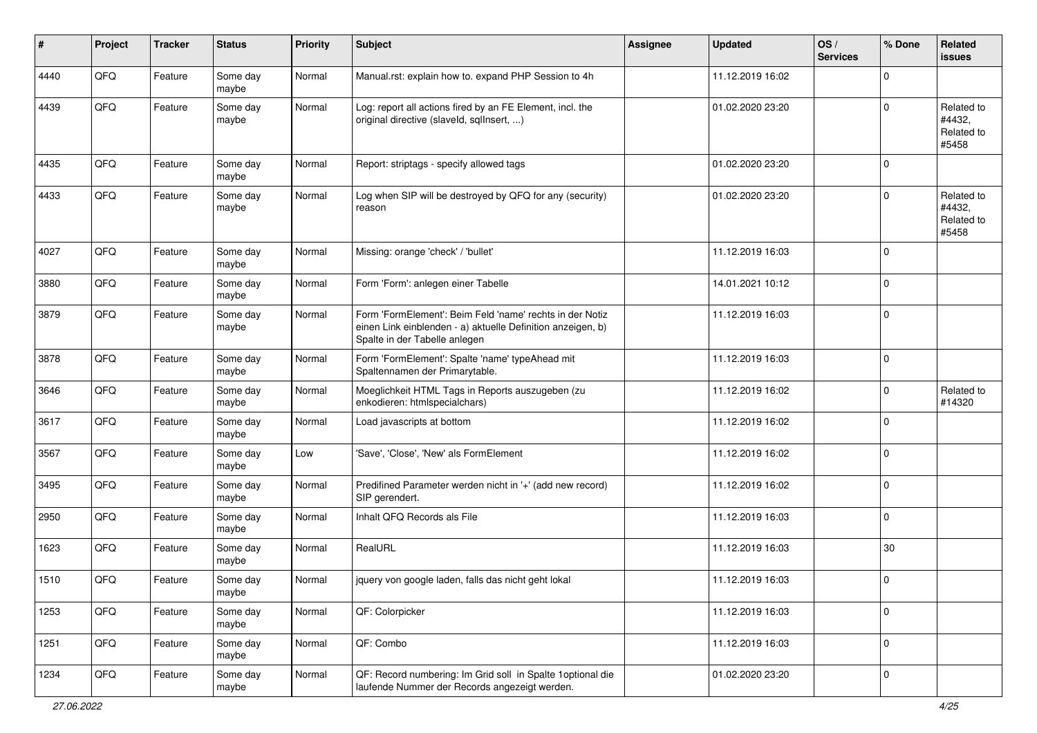| #    | Project | <b>Tracker</b> | <b>Status</b>     | <b>Priority</b> | <b>Subject</b>                                                                                                                                           | <b>Assignee</b> | <b>Updated</b>   | OS/<br><b>Services</b> | % Done      | Related<br><b>issues</b>                    |
|------|---------|----------------|-------------------|-----------------|----------------------------------------------------------------------------------------------------------------------------------------------------------|-----------------|------------------|------------------------|-------------|---------------------------------------------|
| 4440 | QFQ     | Feature        | Some day<br>maybe | Normal          | Manual.rst: explain how to. expand PHP Session to 4h                                                                                                     |                 | 11.12.2019 16:02 |                        | $\mathbf 0$ |                                             |
| 4439 | QFQ     | Feature        | Some day<br>maybe | Normal          | Log: report all actions fired by an FE Element, incl. the<br>original directive (slaveld, sqlInsert, )                                                   |                 | 01.02.2020 23:20 |                        | $\mathbf 0$ | Related to<br>#4432,<br>Related to<br>#5458 |
| 4435 | QFQ     | Feature        | Some day<br>maybe | Normal          | Report: striptags - specify allowed tags                                                                                                                 |                 | 01.02.2020 23:20 |                        | $\mathbf 0$ |                                             |
| 4433 | QFQ     | Feature        | Some day<br>maybe | Normal          | Log when SIP will be destroyed by QFQ for any (security)<br>reason                                                                                       |                 | 01.02.2020 23:20 |                        | $\mathbf 0$ | Related to<br>#4432.<br>Related to<br>#5458 |
| 4027 | QFQ     | Feature        | Some day<br>maybe | Normal          | Missing: orange 'check' / 'bullet'                                                                                                                       |                 | 11.12.2019 16:03 |                        | $\mathbf 0$ |                                             |
| 3880 | QFQ     | Feature        | Some day<br>maybe | Normal          | Form 'Form': anlegen einer Tabelle                                                                                                                       |                 | 14.01.2021 10:12 |                        | $\mathbf 0$ |                                             |
| 3879 | QFQ     | Feature        | Some day<br>maybe | Normal          | Form 'FormElement': Beim Feld 'name' rechts in der Notiz<br>einen Link einblenden - a) aktuelle Definition anzeigen, b)<br>Spalte in der Tabelle anlegen |                 | 11.12.2019 16:03 |                        | $\mathbf 0$ |                                             |
| 3878 | QFQ     | Feature        | Some day<br>maybe | Normal          | Form 'FormElement': Spalte 'name' typeAhead mit<br>Spaltennamen der Primarytable.                                                                        |                 | 11.12.2019 16:03 |                        | $\mathbf 0$ |                                             |
| 3646 | QFQ     | Feature        | Some day<br>maybe | Normal          | Moeglichkeit HTML Tags in Reports auszugeben (zu<br>enkodieren: htmlspecialchars)                                                                        |                 | 11.12.2019 16:02 |                        | $\mathbf 0$ | Related to<br>#14320                        |
| 3617 | QFQ     | Feature        | Some day<br>maybe | Normal          | Load javascripts at bottom                                                                                                                               |                 | 11.12.2019 16:02 |                        | $\mathbf 0$ |                                             |
| 3567 | QFQ     | Feature        | Some day<br>maybe | Low             | 'Save', 'Close', 'New' als FormElement                                                                                                                   |                 | 11.12.2019 16:02 |                        | $\mathbf 0$ |                                             |
| 3495 | QFQ     | Feature        | Some day<br>maybe | Normal          | Predifined Parameter werden nicht in '+' (add new record)<br>SIP gerendert.                                                                              |                 | 11.12.2019 16:02 |                        | $\mathbf 0$ |                                             |
| 2950 | QFQ     | Feature        | Some day<br>maybe | Normal          | Inhalt QFQ Records als File                                                                                                                              |                 | 11.12.2019 16:03 |                        | $\mathbf 0$ |                                             |
| 1623 | QFQ     | Feature        | Some day<br>maybe | Normal          | RealURL                                                                                                                                                  |                 | 11.12.2019 16:03 |                        | $30\,$      |                                             |
| 1510 | QFQ     | Feature        | Some day<br>maybe | Normal          | jquery von google laden, falls das nicht geht lokal                                                                                                      |                 | 11.12.2019 16:03 |                        | $\mathbf 0$ |                                             |
| 1253 | QFQ     | Feature        | Some day<br>maybe | Normal          | QF: Colorpicker                                                                                                                                          |                 | 11.12.2019 16:03 |                        | $\mathbf 0$ |                                             |
| 1251 | QFQ     | Feature        | Some day<br>maybe | Normal          | QF: Combo                                                                                                                                                |                 | 11.12.2019 16:03 |                        | $\mathbf 0$ |                                             |
| 1234 | QFQ     | Feature        | Some day<br>maybe | Normal          | QF: Record numbering: Im Grid soll in Spalte 1 optional die<br>laufende Nummer der Records angezeigt werden.                                             |                 | 01.02.2020 23:20 |                        | $\mathbf 0$ |                                             |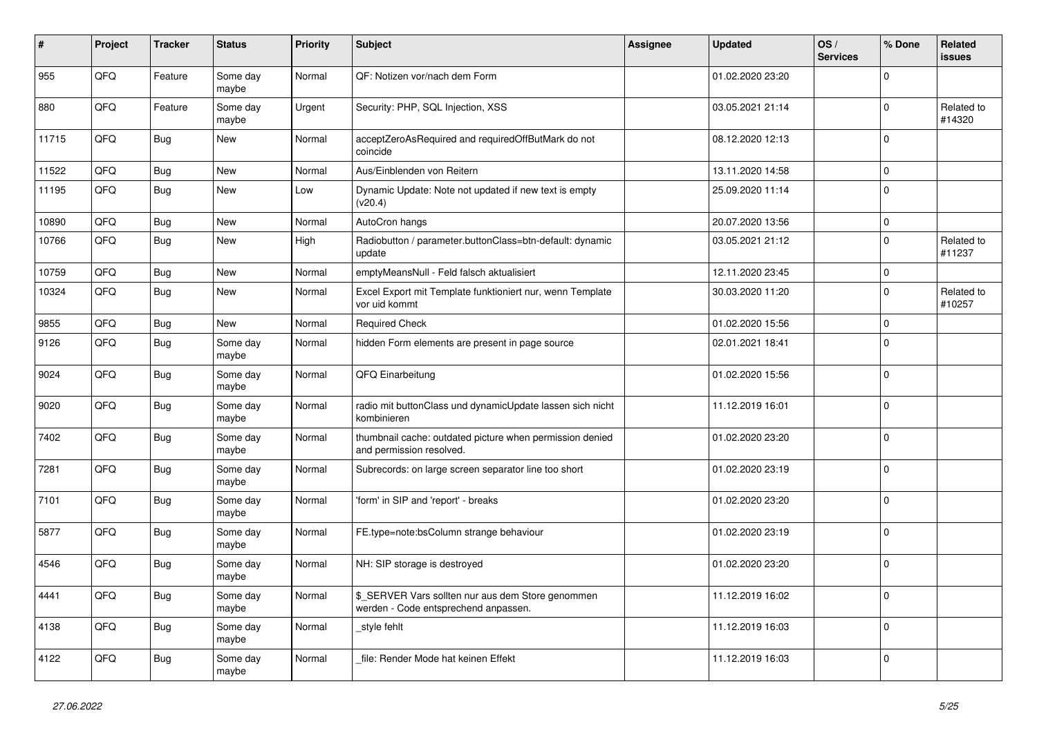| ∦     | Project | <b>Tracker</b> | <b>Status</b>     | <b>Priority</b> | <b>Subject</b>                                                                            | Assignee | <b>Updated</b>   | OS/<br><b>Services</b> | % Done       | <b>Related</b><br>issues |
|-------|---------|----------------|-------------------|-----------------|-------------------------------------------------------------------------------------------|----------|------------------|------------------------|--------------|--------------------------|
| 955   | QFQ     | Feature        | Some day<br>maybe | Normal          | QF: Notizen vor/nach dem Form                                                             |          | 01.02.2020 23:20 |                        | $\Omega$     |                          |
| 880   | QFQ     | Feature        | Some day<br>maybe | Urgent          | Security: PHP, SQL Injection, XSS                                                         |          | 03.05.2021 21:14 |                        | $\Omega$     | Related to<br>#14320     |
| 11715 | QFQ     | Bug            | <b>New</b>        | Normal          | acceptZeroAsRequired and requiredOffButMark do not<br>coincide                            |          | 08.12.2020 12:13 |                        | $\Omega$     |                          |
| 11522 | QFQ     | Bug            | <b>New</b>        | Normal          | Aus/Einblenden von Reitern                                                                |          | 13.11.2020 14:58 |                        | $\Omega$     |                          |
| 11195 | QFQ     | Bug            | <b>New</b>        | Low             | Dynamic Update: Note not updated if new text is empty<br>(v20.4)                          |          | 25.09.2020 11:14 |                        | $\Omega$     |                          |
| 10890 | QFQ     | Bug            | <b>New</b>        | Normal          | AutoCron hangs                                                                            |          | 20.07.2020 13:56 |                        | $\mathbf 0$  |                          |
| 10766 | QFQ     | Bug            | <b>New</b>        | High            | Radiobutton / parameter.buttonClass=btn-default: dynamic<br>update                        |          | 03.05.2021 21:12 |                        | $\Omega$     | Related to<br>#11237     |
| 10759 | QFQ     | Bug            | <b>New</b>        | Normal          | emptyMeansNull - Feld falsch aktualisiert                                                 |          | 12.11.2020 23:45 |                        | $\Omega$     |                          |
| 10324 | QFQ     | Bug            | <b>New</b>        | Normal          | Excel Export mit Template funktioniert nur, wenn Template<br>vor uid kommt                |          | 30.03.2020 11:20 |                        | $\Omega$     | Related to<br>#10257     |
| 9855  | QFQ     | Bug            | <b>New</b>        | Normal          | <b>Required Check</b>                                                                     |          | 01.02.2020 15:56 |                        | $\Omega$     |                          |
| 9126  | QFQ     | <b>Bug</b>     | Some day<br>maybe | Normal          | hidden Form elements are present in page source                                           |          | 02.01.2021 18:41 |                        | $\mathbf{0}$ |                          |
| 9024  | QFQ     | Bug            | Some day<br>maybe | Normal          | QFQ Einarbeitung                                                                          |          | 01.02.2020 15:56 |                        | $\mathbf 0$  |                          |
| 9020  | QFQ     | Bug            | Some day<br>maybe | Normal          | radio mit buttonClass und dynamicUpdate lassen sich nicht<br>kombinieren                  |          | 11.12.2019 16:01 |                        | $\Omega$     |                          |
| 7402  | QFQ     | Bug            | Some day<br>maybe | Normal          | thumbnail cache: outdated picture when permission denied<br>and permission resolved.      |          | 01.02.2020 23:20 |                        | $\Omega$     |                          |
| 7281  | QFQ     | Bug            | Some day<br>maybe | Normal          | Subrecords: on large screen separator line too short                                      |          | 01.02.2020 23:19 |                        | $\Omega$     |                          |
| 7101  | QFQ     | Bug            | Some day<br>maybe | Normal          | 'form' in SIP and 'report' - breaks                                                       |          | 01.02.2020 23:20 |                        | $\Omega$     |                          |
| 5877  | QFQ     | Bug            | Some day<br>maybe | Normal          | FE.type=note:bsColumn strange behaviour                                                   |          | 01.02.2020 23:19 |                        | 0            |                          |
| 4546  | QFQ     | Bug            | Some day<br>maybe | Normal          | NH: SIP storage is destroyed                                                              |          | 01.02.2020 23:20 |                        | $\mathbf 0$  |                          |
| 4441  | QFQ     | Bug            | Some day<br>maybe | Normal          | \$_SERVER Vars sollten nur aus dem Store genommen<br>werden - Code entsprechend anpassen. |          | 11.12.2019 16:02 |                        | $\Omega$     |                          |
| 4138  | QFQ     | Bug            | Some day<br>maybe | Normal          | style fehlt                                                                               |          | 11.12.2019 16:03 |                        | $\Omega$     |                          |
| 4122  | QFQ     | Bug            | Some day<br>maybe | Normal          | file: Render Mode hat keinen Effekt                                                       |          | 11.12.2019 16:03 |                        | $\Omega$     |                          |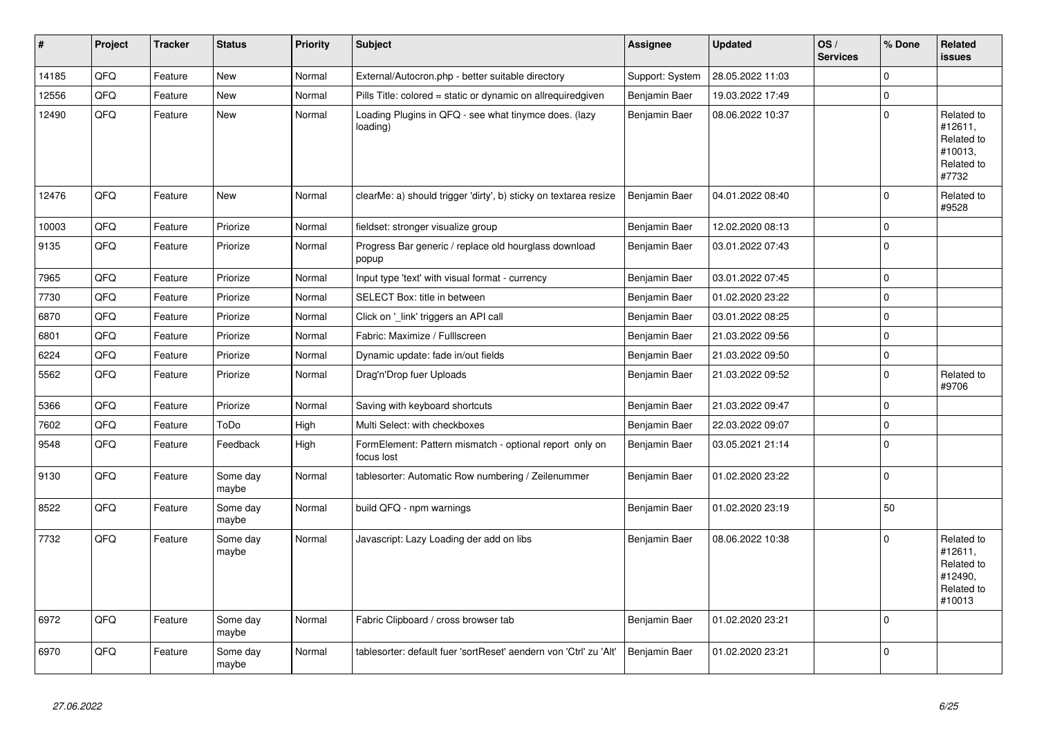| $\pmb{\sharp}$ | Project | <b>Tracker</b> | <b>Status</b>     | <b>Priority</b> | <b>Subject</b>                                                        | Assignee        | <b>Updated</b>   | OS/<br><b>Services</b> | % Done      | Related<br>issues                                                      |
|----------------|---------|----------------|-------------------|-----------------|-----------------------------------------------------------------------|-----------------|------------------|------------------------|-------------|------------------------------------------------------------------------|
| 14185          | QFQ     | Feature        | <b>New</b>        | Normal          | External/Autocron.php - better suitable directory                     | Support: System | 28.05.2022 11:03 |                        | $\Omega$    |                                                                        |
| 12556          | QFQ     | Feature        | <b>New</b>        | Normal          | Pills Title: colored = static or dynamic on allrequiredgiven          | Benjamin Baer   | 19.03.2022 17:49 |                        | $\Omega$    |                                                                        |
| 12490          | QFQ     | Feature        | New               | Normal          | Loading Plugins in QFQ - see what tinymce does. (lazy<br>loading)     | Benjamin Baer   | 08.06.2022 10:37 |                        | $\Omega$    | Related to<br>#12611,<br>Related to<br>#10013,<br>Related to<br>#7732  |
| 12476          | QFQ     | Feature        | <b>New</b>        | Normal          | clearMe: a) should trigger 'dirty', b) sticky on textarea resize      | Benjamin Baer   | 04.01.2022 08:40 |                        | $\mathbf 0$ | Related to<br>#9528                                                    |
| 10003          | QFQ     | Feature        | Priorize          | Normal          | fieldset: stronger visualize group                                    | Benjamin Baer   | 12.02.2020 08:13 |                        | $\mathbf 0$ |                                                                        |
| 9135           | QFQ     | Feature        | Priorize          | Normal          | Progress Bar generic / replace old hourglass download<br>popup        | Benjamin Baer   | 03.01.2022 07:43 |                        | $\Omega$    |                                                                        |
| 7965           | QFQ     | Feature        | Priorize          | Normal          | Input type 'text' with visual format - currency                       | Benjamin Baer   | 03.01.2022 07:45 |                        | $\mathbf 0$ |                                                                        |
| 7730           | QFQ     | Feature        | Priorize          | Normal          | SELECT Box: title in between                                          | Benjamin Baer   | 01.02.2020 23:22 |                        | $\mathbf 0$ |                                                                        |
| 6870           | QFQ     | Feature        | Priorize          | Normal          | Click on '_link' triggers an API call                                 | Benjamin Baer   | 03.01.2022 08:25 |                        | $\mathbf 0$ |                                                                        |
| 6801           | QFQ     | Feature        | Priorize          | Normal          | Fabric: Maximize / FullIscreen                                        | Benjamin Baer   | 21.03.2022 09:56 |                        | $\mathbf 0$ |                                                                        |
| 6224           | QFQ     | Feature        | Priorize          | Normal          | Dynamic update: fade in/out fields                                    | Benjamin Baer   | 21.03.2022 09:50 |                        | $\mathbf 0$ |                                                                        |
| 5562           | QFQ     | Feature        | Priorize          | Normal          | Drag'n'Drop fuer Uploads                                              | Benjamin Baer   | 21.03.2022 09:52 |                        | $\mathbf 0$ | Related to<br>#9706                                                    |
| 5366           | QFQ     | Feature        | Priorize          | Normal          | Saving with keyboard shortcuts                                        | Benjamin Baer   | 21.03.2022 09:47 |                        | $\mathbf 0$ |                                                                        |
| 7602           | QFQ     | Feature        | ToDo              | High            | Multi Select: with checkboxes                                         | Benjamin Baer   | 22.03.2022 09:07 |                        | 0           |                                                                        |
| 9548           | QFQ     | Feature        | Feedback          | High            | FormElement: Pattern mismatch - optional report only on<br>focus lost | Benjamin Baer   | 03.05.2021 21:14 |                        | $\Omega$    |                                                                        |
| 9130           | QFQ     | Feature        | Some day<br>maybe | Normal          | tablesorter: Automatic Row numbering / Zeilenummer                    | Benjamin Baer   | 01.02.2020 23:22 |                        | $\mathbf 0$ |                                                                        |
| 8522           | QFQ     | Feature        | Some day<br>maybe | Normal          | build QFQ - npm warnings                                              | Benjamin Baer   | 01.02.2020 23:19 |                        | 50          |                                                                        |
| 7732           | QFQ     | Feature        | Some day<br>maybe | Normal          | Javascript: Lazy Loading der add on libs                              | Benjamin Baer   | 08.06.2022 10:38 |                        | $\Omega$    | Related to<br>#12611,<br>Related to<br>#12490,<br>Related to<br>#10013 |
| 6972           | QFQ     | Feature        | Some day<br>maybe | Normal          | Fabric Clipboard / cross browser tab                                  | Benjamin Baer   | 01.02.2020 23:21 |                        | $\Omega$    |                                                                        |
| 6970           | QFQ     | Feature        | Some day<br>maybe | Normal          | tablesorter: default fuer 'sortReset' aendern von 'Ctrl' zu 'Alt'     | Benjamin Baer   | 01.02.2020 23:21 |                        | $\Omega$    |                                                                        |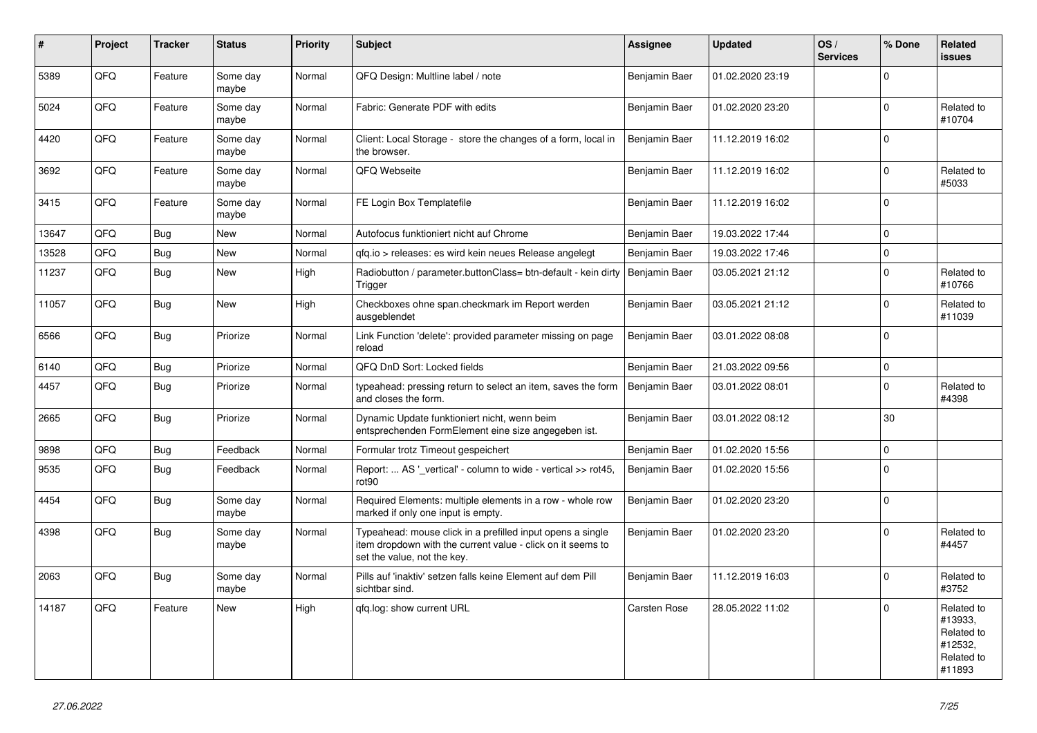| ∦     | Project | <b>Tracker</b> | <b>Status</b>     | <b>Priority</b> | <b>Subject</b>                                                                                                                                           | <b>Assignee</b> | <b>Updated</b>   | OS/<br><b>Services</b> | % Done      | Related<br><b>issues</b>                                               |
|-------|---------|----------------|-------------------|-----------------|----------------------------------------------------------------------------------------------------------------------------------------------------------|-----------------|------------------|------------------------|-------------|------------------------------------------------------------------------|
| 5389  | QFQ     | Feature        | Some dav<br>maybe | Normal          | QFQ Design: Multline label / note                                                                                                                        | Benjamin Baer   | 01.02.2020 23:19 |                        | $\Omega$    |                                                                        |
| 5024  | QFQ     | Feature        | Some day<br>maybe | Normal          | Fabric: Generate PDF with edits                                                                                                                          | Benjamin Baer   | 01.02.2020 23:20 |                        | $\mathbf 0$ | Related to<br>#10704                                                   |
| 4420  | QFQ     | Feature        | Some day<br>maybe | Normal          | Client: Local Storage - store the changes of a form, local in<br>the browser.                                                                            | Benjamin Baer   | 11.12.2019 16:02 |                        | $\Omega$    |                                                                        |
| 3692  | QFQ     | Feature        | Some day<br>maybe | Normal          | QFQ Webseite                                                                                                                                             | Benjamin Baer   | 11.12.2019 16:02 |                        | $\Omega$    | Related to<br>#5033                                                    |
| 3415  | QFQ     | Feature        | Some day<br>maybe | Normal          | FE Login Box Templatefile                                                                                                                                | Benjamin Baer   | 11.12.2019 16:02 |                        | $\mathbf 0$ |                                                                        |
| 13647 | QFQ     | Bug            | New               | Normal          | Autofocus funktioniert nicht auf Chrome                                                                                                                  | Benjamin Baer   | 19.03.2022 17:44 |                        | $\Omega$    |                                                                        |
| 13528 | QFQ     | Bug            | <b>New</b>        | Normal          | gfg.io > releases: es wird kein neues Release angelegt                                                                                                   | Benjamin Baer   | 19.03.2022 17:46 |                        | $\mathbf 0$ |                                                                        |
| 11237 | QFQ     | <b>Bug</b>     | New               | High            | Radiobutton / parameter.buttonClass= btn-default - kein dirty<br>Trigger                                                                                 | Benjamin Baer   | 03.05.2021 21:12 |                        | $\Omega$    | Related to<br>#10766                                                   |
| 11057 | QFQ     | Bug            | <b>New</b>        | High            | Checkboxes ohne span.checkmark im Report werden<br>ausgeblendet                                                                                          | Benjamin Baer   | 03.05.2021 21:12 |                        | $\Omega$    | Related to<br>#11039                                                   |
| 6566  | QFQ     | Bug            | Priorize          | Normal          | Link Function 'delete': provided parameter missing on page<br>reload                                                                                     | Benjamin Baer   | 03.01.2022 08:08 |                        | $\Omega$    |                                                                        |
| 6140  | QFQ     | <b>Bug</b>     | Priorize          | Normal          | QFQ DnD Sort: Locked fields                                                                                                                              | Benjamin Baer   | 21.03.2022 09:56 |                        | $\mathbf 0$ |                                                                        |
| 4457  | QFQ     | <b>Bug</b>     | Priorize          | Normal          | typeahead: pressing return to select an item, saves the form<br>and closes the form.                                                                     | Benjamin Baer   | 03.01.2022 08:01 |                        | $\Omega$    | Related to<br>#4398                                                    |
| 2665  | QFQ     | Bug            | Priorize          | Normal          | Dynamic Update funktioniert nicht, wenn beim<br>entsprechenden FormElement eine size angegeben ist.                                                      | Benjamin Baer   | 03.01.2022 08:12 |                        | 30          |                                                                        |
| 9898  | QFQ     | <b>Bug</b>     | Feedback          | Normal          | Formular trotz Timeout gespeichert                                                                                                                       | Benjamin Baer   | 01.02.2020 15:56 |                        | $\mathbf 0$ |                                                                        |
| 9535  | QFQ     | <b>Bug</b>     | Feedback          | Normal          | Report:  AS ' vertical' - column to wide - vertical >> rot45,<br>rot <sub>90</sub>                                                                       | Benjamin Baer   | 01.02.2020 15:56 |                        | $\Omega$    |                                                                        |
| 4454  | QFQ     | <b>Bug</b>     | Some day<br>maybe | Normal          | Required Elements: multiple elements in a row - whole row<br>marked if only one input is empty.                                                          | Benjamin Baer   | 01.02.2020 23:20 |                        | $\Omega$    |                                                                        |
| 4398  | QFQ     | Bug            | Some day<br>maybe | Normal          | Typeahead: mouse click in a prefilled input opens a single<br>item dropdown with the current value - click on it seems to<br>set the value, not the key. | Benjamin Baer   | 01.02.2020 23:20 |                        | $\Omega$    | Related to<br>#4457                                                    |
| 2063  | QFQ     | Bug            | Some day<br>maybe | Normal          | Pills auf 'inaktiv' setzen falls keine Element auf dem Pill<br>sichtbar sind.                                                                            | Benjamin Baer   | 11.12.2019 16:03 |                        | $\Omega$    | Related to<br>#3752                                                    |
| 14187 | QFQ     | Feature        | <b>New</b>        | High            | gfg.log: show current URL                                                                                                                                | Carsten Rose    | 28.05.2022 11:02 |                        | $\Omega$    | Related to<br>#13933,<br>Related to<br>#12532,<br>Related to<br>#11893 |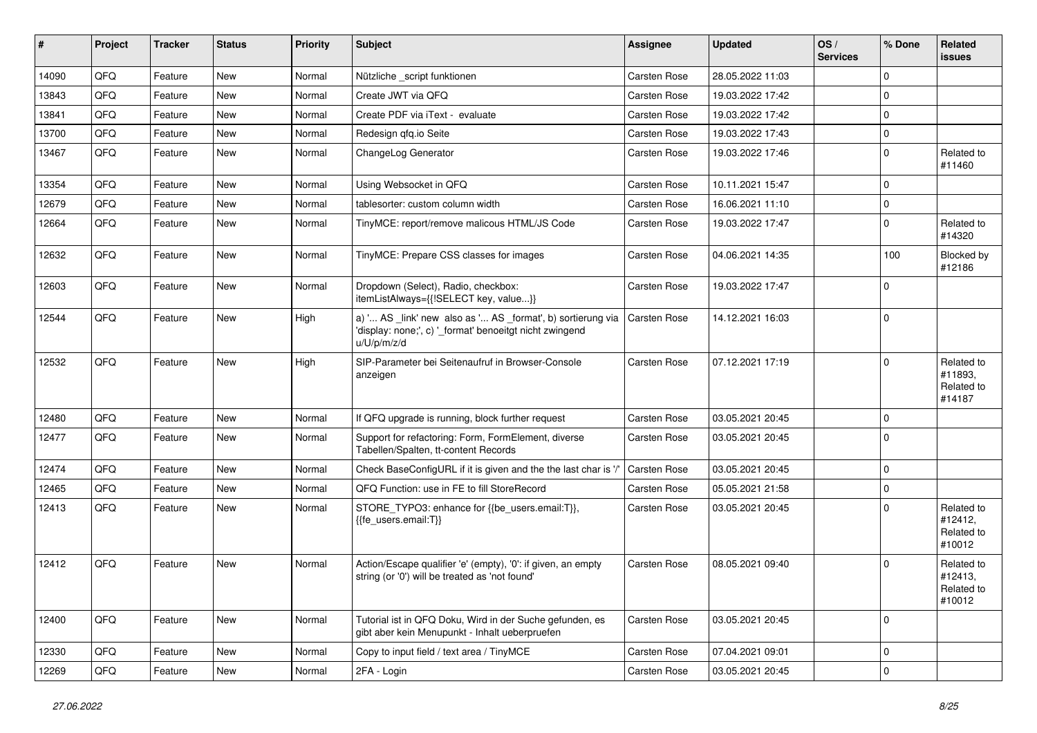| #     | Project | <b>Tracker</b> | <b>Status</b> | <b>Priority</b> | Subject                                                                                                                               | <b>Assignee</b>     | <b>Updated</b>   | OS/<br><b>Services</b> | % Done      | Related<br><b>issues</b>                      |
|-------|---------|----------------|---------------|-----------------|---------------------------------------------------------------------------------------------------------------------------------------|---------------------|------------------|------------------------|-------------|-----------------------------------------------|
| 14090 | QFQ     | Feature        | <b>New</b>    | Normal          | Nützliche _script funktionen                                                                                                          | Carsten Rose        | 28.05.2022 11:03 |                        | $\mathbf 0$ |                                               |
| 13843 | QFQ     | Feature        | <b>New</b>    | Normal          | Create JWT via QFQ                                                                                                                    | Carsten Rose        | 19.03.2022 17:42 |                        | $\mathbf 0$ |                                               |
| 13841 | QFQ     | Feature        | New           | Normal          | Create PDF via iText - evaluate                                                                                                       | Carsten Rose        | 19.03.2022 17:42 |                        | $\mathbf 0$ |                                               |
| 13700 | QFQ     | Feature        | <b>New</b>    | Normal          | Redesign qfq.io Seite                                                                                                                 | Carsten Rose        | 19.03.2022 17:43 |                        | $\mathbf 0$ |                                               |
| 13467 | QFQ     | Feature        | New           | Normal          | ChangeLog Generator                                                                                                                   | Carsten Rose        | 19.03.2022 17:46 |                        | $\mathbf 0$ | Related to<br>#11460                          |
| 13354 | QFQ     | Feature        | New           | Normal          | Using Websocket in QFQ                                                                                                                | Carsten Rose        | 10.11.2021 15:47 |                        | $\mathbf 0$ |                                               |
| 12679 | QFQ     | Feature        | <b>New</b>    | Normal          | tablesorter: custom column width                                                                                                      | Carsten Rose        | 16.06.2021 11:10 |                        | $\mathbf 0$ |                                               |
| 12664 | QFQ     | Feature        | New           | Normal          | TinyMCE: report/remove malicous HTML/JS Code                                                                                          | Carsten Rose        | 19.03.2022 17:47 |                        | 0           | Related to<br>#14320                          |
| 12632 | QFQ     | Feature        | New           | Normal          | TinyMCE: Prepare CSS classes for images                                                                                               | Carsten Rose        | 04.06.2021 14:35 |                        | 100         | Blocked by<br>#12186                          |
| 12603 | QFQ     | Feature        | <b>New</b>    | Normal          | Dropdown (Select), Radio, checkbox:<br>itemListAlways={{!SELECT key, value}}                                                          | Carsten Rose        | 19.03.2022 17:47 |                        | $\mathbf 0$ |                                               |
| 12544 | QFQ     | Feature        | New           | High            | a) ' AS _link' new also as ' AS _format', b) sortierung via<br>'display: none;', c) ' format' benoeitgt nicht zwingend<br>u/U/p/m/z/d | <b>Carsten Rose</b> | 14.12.2021 16:03 |                        | $\mathbf 0$ |                                               |
| 12532 | QFQ     | Feature        | New           | High            | SIP-Parameter bei Seitenaufruf in Browser-Console<br>anzeigen                                                                         | Carsten Rose        | 07.12.2021 17:19 |                        | $\mathbf 0$ | Related to<br>#11893,<br>Related to<br>#14187 |
| 12480 | QFQ     | Feature        | <b>New</b>    | Normal          | If QFQ upgrade is running, block further request                                                                                      | Carsten Rose        | 03.05.2021 20:45 |                        | $\mathbf 0$ |                                               |
| 12477 | QFQ     | Feature        | New           | Normal          | Support for refactoring: Form, FormElement, diverse<br>Tabellen/Spalten, tt-content Records                                           | Carsten Rose        | 03.05.2021 20:45 |                        | $\mathbf 0$ |                                               |
| 12474 | QFQ     | Feature        | <b>New</b>    | Normal          | Check BaseConfigURL if it is given and the the last char is '/'                                                                       | <b>Carsten Rose</b> | 03.05.2021 20:45 |                        | $\mathbf 0$ |                                               |
| 12465 | QFQ     | Feature        | <b>New</b>    | Normal          | QFQ Function: use in FE to fill StoreRecord                                                                                           | Carsten Rose        | 05.05.2021 21:58 |                        | $\pmb{0}$   |                                               |
| 12413 | QFQ     | Feature        | New           | Normal          | STORE TYPO3: enhance for {{be users.email:T}},<br>{{fe users.email:T}}                                                                | Carsten Rose        | 03.05.2021 20:45 |                        | $\mathbf 0$ | Related to<br>#12412,<br>Related to<br>#10012 |
| 12412 | QFQ     | Feature        | New           | Normal          | Action/Escape qualifier 'e' (empty), '0': if given, an empty<br>string (or '0') will be treated as 'not found'                        | Carsten Rose        | 08.05.2021 09:40 |                        | $\mathbf 0$ | Related to<br>#12413,<br>Related to<br>#10012 |
| 12400 | QFQ     | Feature        | New           | Normal          | Tutorial ist in QFQ Doku, Wird in der Suche gefunden, es<br>gibt aber kein Menupunkt - Inhalt ueberpruefen                            | Carsten Rose        | 03.05.2021 20:45 |                        | $\mathbf 0$ |                                               |
| 12330 | QFQ     | Feature        | New           | Normal          | Copy to input field / text area / TinyMCE                                                                                             | Carsten Rose        | 07.04.2021 09:01 |                        | $\pmb{0}$   |                                               |
| 12269 | QFQ     | Feature        | New           | Normal          | 2FA - Login                                                                                                                           | Carsten Rose        | 03.05.2021 20:45 |                        | $\mathsf 0$ |                                               |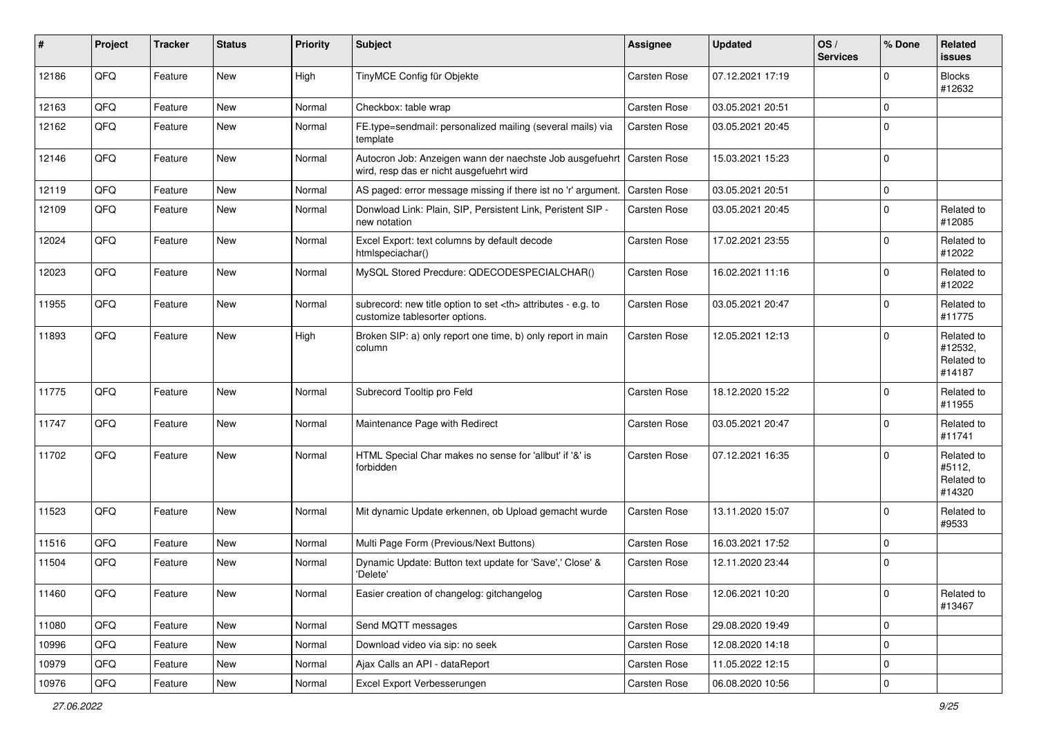| ∦     | Project | <b>Tracker</b> | <b>Status</b> | <b>Priority</b> | <b>Subject</b>                                                                                                      | <b>Assignee</b>                                        | <b>Updated</b>      | OS/<br><b>Services</b> | % Done      | Related<br>issues                             |                      |
|-------|---------|----------------|---------------|-----------------|---------------------------------------------------------------------------------------------------------------------|--------------------------------------------------------|---------------------|------------------------|-------------|-----------------------------------------------|----------------------|
| 12186 | QFQ     | Feature        | New           | High            | TinyMCE Config für Objekte                                                                                          | <b>Carsten Rose</b>                                    | 07.12.2021 17:19    |                        | $\mathbf 0$ | <b>Blocks</b><br>#12632                       |                      |
| 12163 | QFQ     | Feature        | New           | Normal          | Checkbox: table wrap                                                                                                | <b>Carsten Rose</b>                                    | 03.05.2021 20:51    |                        | $\mathbf 0$ |                                               |                      |
| 12162 | QFQ     | Feature        | <b>New</b>    | Normal          | FE.type=sendmail: personalized mailing (several mails) via<br>template                                              | Carsten Rose                                           | 03.05.2021 20:45    |                        | $\mathbf 0$ |                                               |                      |
| 12146 | QFQ     | Feature        | New           | Normal          | Autocron Job: Anzeigen wann der naechste Job ausgefuehrt   Carsten Rose<br>wird, resp das er nicht ausgefuehrt wird |                                                        | 15.03.2021 15:23    |                        | $\mathbf 0$ |                                               |                      |
| 12119 | QFQ     | Feature        | New           | Normal          | AS paged: error message missing if there ist no 'r' argument.                                                       | <b>Carsten Rose</b>                                    | 03.05.2021 20:51    |                        | $\mathbf 0$ |                                               |                      |
| 12109 | QFQ     | Feature        | New           | Normal          | Donwload Link: Plain, SIP, Persistent Link, Peristent SIP -<br>new notation                                         | Carsten Rose                                           | 03.05.2021 20:45    |                        | $\mathbf 0$ | Related to<br>#12085                          |                      |
| 12024 | QFQ     | Feature        | <b>New</b>    | Normal          | Excel Export: text columns by default decode<br>htmlspeciachar()                                                    | <b>Carsten Rose</b>                                    | 17.02.2021 23:55    |                        | $\mathbf 0$ | Related to<br>#12022                          |                      |
| 12023 | QFQ     | Feature        | New           | Normal          | MySQL Stored Precdure: QDECODESPECIALCHAR()                                                                         | Carsten Rose                                           | 16.02.2021 11:16    |                        | $\mathbf 0$ | Related to<br>#12022                          |                      |
| 11955 | QFQ     | Feature        | <b>New</b>    | Normal          | subrecord: new title option to set <th> attributes - e.g. to<br/>customize tablesorter options.</th>                | attributes - e.g. to<br>customize tablesorter options. | <b>Carsten Rose</b> | 03.05.2021 20:47       |             | $\mathbf 0$                                   | Related to<br>#11775 |
| 11893 | QFQ     | Feature        | <b>New</b>    | High            | Broken SIP: a) only report one time, b) only report in main<br>column                                               | Carsten Rose                                           | 12.05.2021 12:13    |                        | $\Omega$    | Related to<br>#12532,<br>Related to<br>#14187 |                      |
| 11775 | QFQ     | Feature        | New           | Normal          | Subrecord Tooltip pro Feld                                                                                          | Carsten Rose                                           | 18.12.2020 15:22    |                        | $\mathbf 0$ | Related to<br>#11955                          |                      |
| 11747 | QFQ     | Feature        | <b>New</b>    | Normal          | Maintenance Page with Redirect                                                                                      | <b>Carsten Rose</b>                                    | 03.05.2021 20:47    |                        | $\mathbf 0$ | Related to<br>#11741                          |                      |
| 11702 | QFQ     | Feature        | New           | Normal          | HTML Special Char makes no sense for 'allbut' if '&' is<br>forbidden                                                | <b>Carsten Rose</b>                                    | 07.12.2021 16:35    |                        | $\Omega$    | Related to<br>#5112,<br>Related to<br>#14320  |                      |
| 11523 | QFQ     | Feature        | New           | Normal          | Mit dynamic Update erkennen, ob Upload gemacht wurde                                                                | <b>Carsten Rose</b>                                    | 13.11.2020 15:07    |                        | $\mathbf 0$ | Related to<br>#9533                           |                      |
| 11516 | QFQ     | Feature        | <b>New</b>    | Normal          | Multi Page Form (Previous/Next Buttons)                                                                             | Carsten Rose                                           | 16.03.2021 17:52    |                        | $\mathbf 0$ |                                               |                      |
| 11504 | QFQ     | Feature        | New           | Normal          | Dynamic Update: Button text update for 'Save',' Close' &<br>'Delete'                                                | Carsten Rose                                           | 12.11.2020 23:44    |                        | 0           |                                               |                      |
| 11460 | QFQ     | Feature        | New           | Normal          | Easier creation of changelog: gitchangelog                                                                          | Carsten Rose                                           | 12.06.2021 10:20    |                        | 0           | Related to<br>#13467                          |                      |
| 11080 | QFQ     | Feature        | New           | Normal          | Send MQTT messages                                                                                                  | Carsten Rose                                           | 29.08.2020 19:49    |                        | $\mathbf 0$ |                                               |                      |
| 10996 | QFQ     | Feature        | New           | Normal          | Download video via sip: no seek                                                                                     | Carsten Rose                                           | 12.08.2020 14:18    |                        | 0           |                                               |                      |
| 10979 | QFQ     | Feature        | New           | Normal          | Ajax Calls an API - dataReport                                                                                      | Carsten Rose                                           | 11.05.2022 12:15    |                        | $\mathbf 0$ |                                               |                      |
| 10976 | QFG     | Feature        | New           | Normal          | Excel Export Verbesserungen                                                                                         | Carsten Rose                                           | 06.08.2020 10:56    |                        | $\mathbf 0$ |                                               |                      |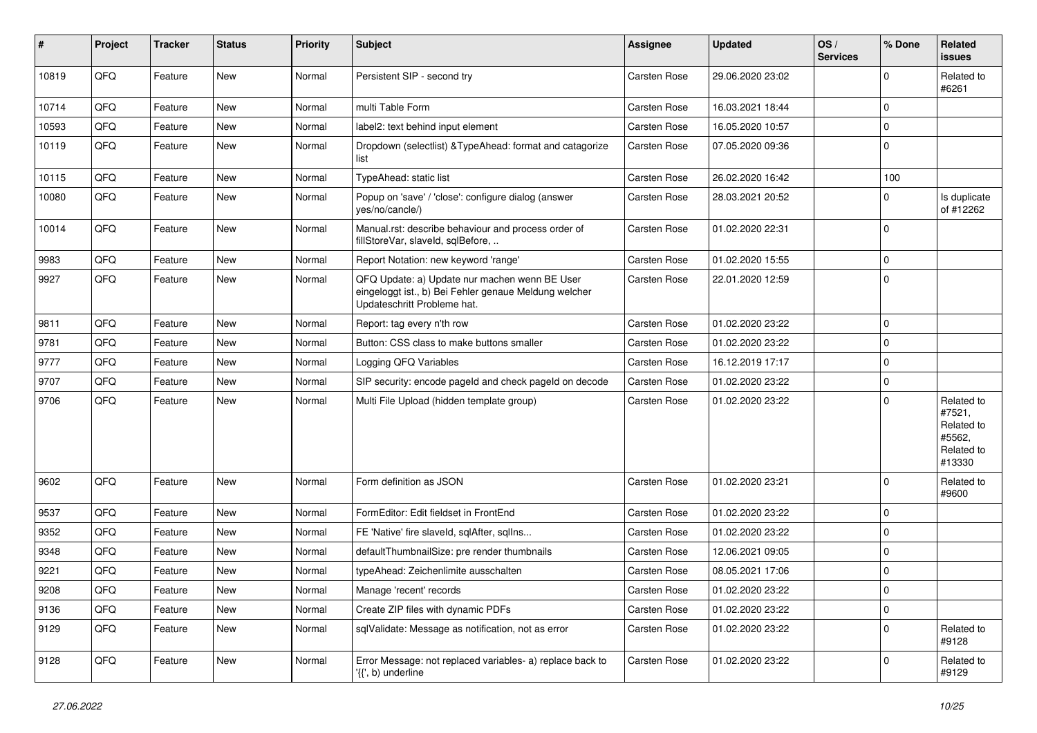| #     | Project | <b>Tracker</b> | <b>Status</b> | <b>Priority</b> | <b>Subject</b>                                                                                                                        | <b>Assignee</b> | <b>Updated</b>   | OS/<br><b>Services</b> | % Done      | Related<br>issues                                                    |
|-------|---------|----------------|---------------|-----------------|---------------------------------------------------------------------------------------------------------------------------------------|-----------------|------------------|------------------------|-------------|----------------------------------------------------------------------|
| 10819 | QFQ     | Feature        | <b>New</b>    | Normal          | Persistent SIP - second try                                                                                                           | Carsten Rose    | 29.06.2020 23:02 |                        | $\Omega$    | Related to<br>#6261                                                  |
| 10714 | QFQ     | Feature        | <b>New</b>    | Normal          | multi Table Form                                                                                                                      | Carsten Rose    | 16.03.2021 18:44 |                        | $\mathbf 0$ |                                                                      |
| 10593 | QFQ     | Feature        | New           | Normal          | label2: text behind input element                                                                                                     | Carsten Rose    | 16.05.2020 10:57 |                        | $\mathbf 0$ |                                                                      |
| 10119 | QFQ     | Feature        | New           | Normal          | Dropdown (selectlist) & TypeAhead: format and catagorize<br>list                                                                      | Carsten Rose    | 07.05.2020 09:36 |                        | $\Omega$    |                                                                      |
| 10115 | QFQ     | Feature        | <b>New</b>    | Normal          | TypeAhead: static list                                                                                                                | Carsten Rose    | 26.02.2020 16:42 |                        | 100         |                                                                      |
| 10080 | QFQ     | Feature        | New           | Normal          | Popup on 'save' / 'close': configure dialog (answer<br>yes/no/cancle/)                                                                | Carsten Rose    | 28.03.2021 20:52 |                        | $\Omega$    | Is duplicate<br>of #12262                                            |
| 10014 | QFQ     | Feature        | New           | Normal          | Manual.rst: describe behaviour and process order of<br>fillStoreVar, slaveId, sqlBefore,                                              | Carsten Rose    | 01.02.2020 22:31 |                        | $\mathbf 0$ |                                                                      |
| 9983  | QFQ     | Feature        | <b>New</b>    | Normal          | Report Notation: new keyword 'range'                                                                                                  | Carsten Rose    | 01.02.2020 15:55 |                        | $\mathbf 0$ |                                                                      |
| 9927  | QFQ     | Feature        | <b>New</b>    | Normal          | QFQ Update: a) Update nur machen wenn BE User<br>eingeloggt ist., b) Bei Fehler genaue Meldung welcher<br>Updateschritt Probleme hat. | Carsten Rose    | 22.01.2020 12:59 |                        | $\Omega$    |                                                                      |
| 9811  | QFQ     | Feature        | New           | Normal          | Report: tag every n'th row                                                                                                            | Carsten Rose    | 01.02.2020 23:22 |                        | $\mathbf 0$ |                                                                      |
| 9781  | QFQ     | Feature        | <b>New</b>    | Normal          | Button: CSS class to make buttons smaller                                                                                             | Carsten Rose    | 01.02.2020 23:22 |                        | $\mathbf 0$ |                                                                      |
| 9777  | QFQ     | Feature        | <b>New</b>    | Normal          | Logging QFQ Variables                                                                                                                 | Carsten Rose    | 16.12.2019 17:17 |                        | 0           |                                                                      |
| 9707  | QFQ     | Feature        | <b>New</b>    | Normal          | SIP security: encode pageld and check pageld on decode                                                                                | Carsten Rose    | 01.02.2020 23:22 |                        | $\mathbf 0$ |                                                                      |
| 9706  | QFQ     | Feature        | <b>New</b>    | Normal          | Multi File Upload (hidden template group)                                                                                             | Carsten Rose    | 01.02.2020 23:22 |                        | $\Omega$    | Related to<br>#7521,<br>Related to<br>#5562,<br>Related to<br>#13330 |
| 9602  | QFQ     | Feature        | <b>New</b>    | Normal          | Form definition as JSON                                                                                                               | Carsten Rose    | 01.02.2020 23:21 |                        | $\Omega$    | Related to<br>#9600                                                  |
| 9537  | QFQ     | Feature        | <b>New</b>    | Normal          | FormEditor: Edit fieldset in FrontEnd                                                                                                 | Carsten Rose    | 01.02.2020 23:22 |                        | $\mathbf 0$ |                                                                      |
| 9352  | QFQ     | Feature        | New           | Normal          | FE 'Native' fire slaveld, sqlAfter, sqlIns                                                                                            | Carsten Rose    | 01.02.2020 23:22 |                        | $\mathbf 0$ |                                                                      |
| 9348  | QFQ     | Feature        | New           | Normal          | defaultThumbnailSize: pre render thumbnails                                                                                           | Carsten Rose    | 12.06.2021 09:05 |                        | $\mathbf 0$ |                                                                      |
| 9221  | QFQ     | Feature        | New           | Normal          | typeAhead: Zeichenlimite ausschalten                                                                                                  | Carsten Rose    | 08.05.2021 17:06 |                        | $\mathbf 0$ |                                                                      |
| 9208  | QFQ     | Feature        | New           | Normal          | Manage 'recent' records                                                                                                               | Carsten Rose    | 01.02.2020 23:22 |                        | 0           |                                                                      |
| 9136  | QFQ     | Feature        | New           | Normal          | Create ZIP files with dynamic PDFs                                                                                                    | Carsten Rose    | 01.02.2020 23:22 |                        | $\pmb{0}$   |                                                                      |
| 9129  | QFQ     | Feature        | New           | Normal          | sqlValidate: Message as notification, not as error                                                                                    | Carsten Rose    | 01.02.2020 23:22 |                        | 0           | Related to<br>#9128                                                  |
| 9128  | QFQ     | Feature        | New           | Normal          | Error Message: not replaced variables- a) replace back to<br>'{{', b) underline                                                       | Carsten Rose    | 01.02.2020 23:22 |                        | 0           | Related to<br>#9129                                                  |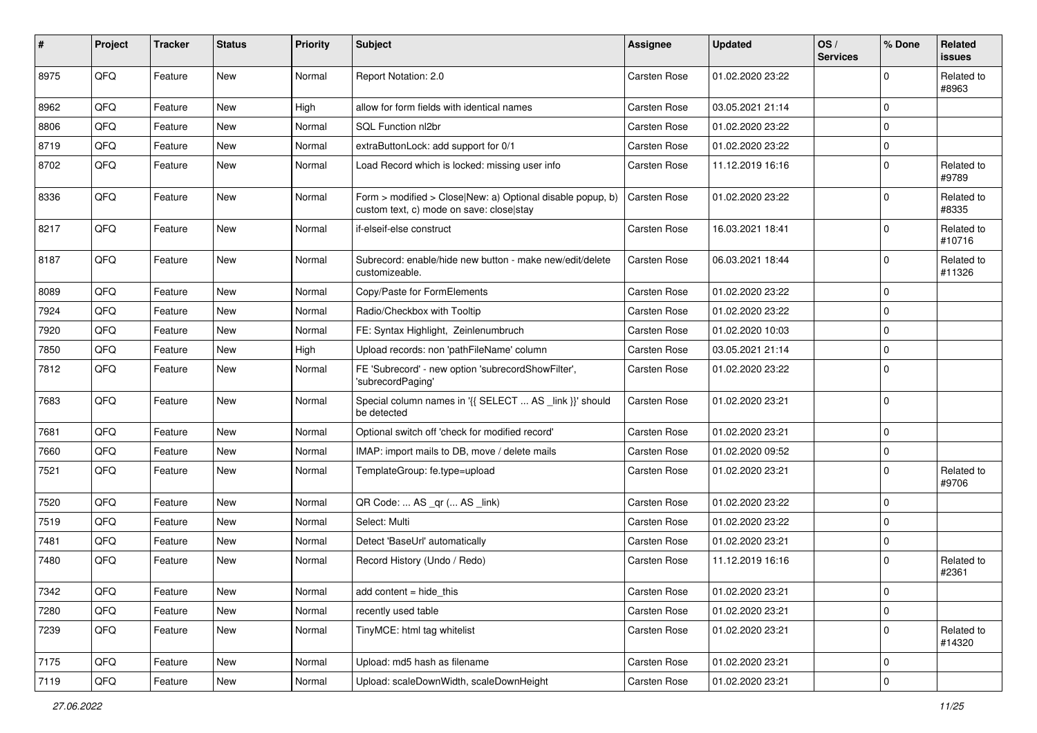| #    | Project | <b>Tracker</b> | <b>Status</b> | <b>Priority</b> | Subject                                                                                                | <b>Assignee</b>     | <b>Updated</b>   | OS/<br><b>Services</b> | % Done                  | Related<br>issues    |
|------|---------|----------------|---------------|-----------------|--------------------------------------------------------------------------------------------------------|---------------------|------------------|------------------------|-------------------------|----------------------|
| 8975 | QFQ     | Feature        | <b>New</b>    | Normal          | Report Notation: 2.0                                                                                   | Carsten Rose        | 01.02.2020 23:22 |                        | $\Omega$                | Related to<br>#8963  |
| 8962 | QFQ     | Feature        | New           | High            | allow for form fields with identical names                                                             | Carsten Rose        | 03.05.2021 21:14 |                        | $\mathbf 0$             |                      |
| 8806 | QFQ     | Feature        | <b>New</b>    | Normal          | SQL Function nl2br                                                                                     | Carsten Rose        | 01.02.2020 23:22 |                        | $\mathbf 0$             |                      |
| 8719 | QFQ     | Feature        | New           | Normal          | extraButtonLock: add support for 0/1                                                                   | Carsten Rose        | 01.02.2020 23:22 |                        | $\Omega$                |                      |
| 8702 | QFQ     | Feature        | New           | Normal          | Load Record which is locked: missing user info                                                         | Carsten Rose        | 11.12.2019 16:16 |                        | $\mathbf 0$             | Related to<br>#9789  |
| 8336 | QFQ     | Feature        | New           | Normal          | Form > modified > Close New: a) Optional disable popup, b)<br>custom text, c) mode on save: close stay | Carsten Rose        | 01.02.2020 23:22 |                        | $\Omega$                | Related to<br>#8335  |
| 8217 | QFQ     | Feature        | New           | Normal          | if-elseif-else construct                                                                               | Carsten Rose        | 16.03.2021 18:41 |                        | $\Omega$                | Related to<br>#10716 |
| 8187 | QFQ     | Feature        | New           | Normal          | Subrecord: enable/hide new button - make new/edit/delete<br>customizeable.                             | Carsten Rose        | 06.03.2021 18:44 |                        | $\mathbf 0$             | Related to<br>#11326 |
| 8089 | QFQ     | Feature        | New           | Normal          | Copy/Paste for FormElements                                                                            | Carsten Rose        | 01.02.2020 23:22 |                        | $\mathbf 0$             |                      |
| 7924 | QFQ     | Feature        | New           | Normal          | Radio/Checkbox with Tooltip                                                                            | <b>Carsten Rose</b> | 01.02.2020 23:22 |                        | $\mathbf 0$             |                      |
| 7920 | QFQ     | Feature        | New           | Normal          | FE: Syntax Highlight, Zeinlenumbruch                                                                   | Carsten Rose        | 01.02.2020 10:03 |                        | $\Omega$                |                      |
| 7850 | QFQ     | Feature        | <b>New</b>    | High            | Upload records: non 'pathFileName' column                                                              | Carsten Rose        | 03.05.2021 21:14 |                        | $\Omega$                |                      |
| 7812 | QFQ     | Feature        | New           | Normal          | FE 'Subrecord' - new option 'subrecordShowFilter',<br>'subrecordPaging'                                | Carsten Rose        | 01.02.2020 23:22 |                        | 0                       |                      |
| 7683 | QFQ     | Feature        | <b>New</b>    | Normal          | Special column names in '{{ SELECT  AS _link }}' should<br>be detected                                 | Carsten Rose        | 01.02.2020 23:21 |                        | 0                       |                      |
| 7681 | QFQ     | Feature        | New           | Normal          | Optional switch off 'check for modified record'                                                        | Carsten Rose        | 01.02.2020 23:21 |                        | 0                       |                      |
| 7660 | QFQ     | Feature        | New           | Normal          | IMAP: import mails to DB, move / delete mails                                                          | Carsten Rose        | 01.02.2020 09:52 |                        | $\mathbf 0$             |                      |
| 7521 | QFQ     | Feature        | New           | Normal          | TemplateGroup: fe.type=upload                                                                          | Carsten Rose        | 01.02.2020 23:21 |                        | $\Omega$                | Related to<br>#9706  |
| 7520 | QFQ     | Feature        | New           | Normal          | QR Code:  AS _qr ( AS _link)                                                                           | Carsten Rose        | 01.02.2020 23:22 |                        | $\mathbf 0$             |                      |
| 7519 | QFQ     | Feature        | New           | Normal          | Select: Multi                                                                                          | Carsten Rose        | 01.02.2020 23:22 |                        | $\mathbf 0$             |                      |
| 7481 | QFQ     | Feature        | <b>New</b>    | Normal          | Detect 'BaseUrl' automatically                                                                         | Carsten Rose        | 01.02.2020 23:21 |                        | 0                       |                      |
| 7480 | QFQ     | Feature        | New           | Normal          | Record History (Undo / Redo)                                                                           | Carsten Rose        | 11.12.2019 16:16 |                        | 0                       | Related to<br>#2361  |
| 7342 | QFQ     | Feature        | New           | Normal          | add content = hide this                                                                                | Carsten Rose        | 01.02.2020 23:21 |                        | $\overline{\mathbf{0}}$ |                      |
| 7280 | QFQ     | Feature        | New           | Normal          | recently used table                                                                                    | Carsten Rose        | 01.02.2020 23:21 |                        | $\mathbf 0$             |                      |
| 7239 | QFQ     | Feature        | New           | Normal          | TinyMCE: html tag whitelist                                                                            | Carsten Rose        | 01.02.2020 23:21 |                        | 0                       | Related to<br>#14320 |
| 7175 | QFQ     | Feature        | New           | Normal          | Upload: md5 hash as filename                                                                           | Carsten Rose        | 01.02.2020 23:21 |                        | 0                       |                      |
| 7119 | QFQ     | Feature        | New           | Normal          | Upload: scaleDownWidth, scaleDownHeight                                                                | Carsten Rose        | 01.02.2020 23:21 |                        | $\mathbf 0$             |                      |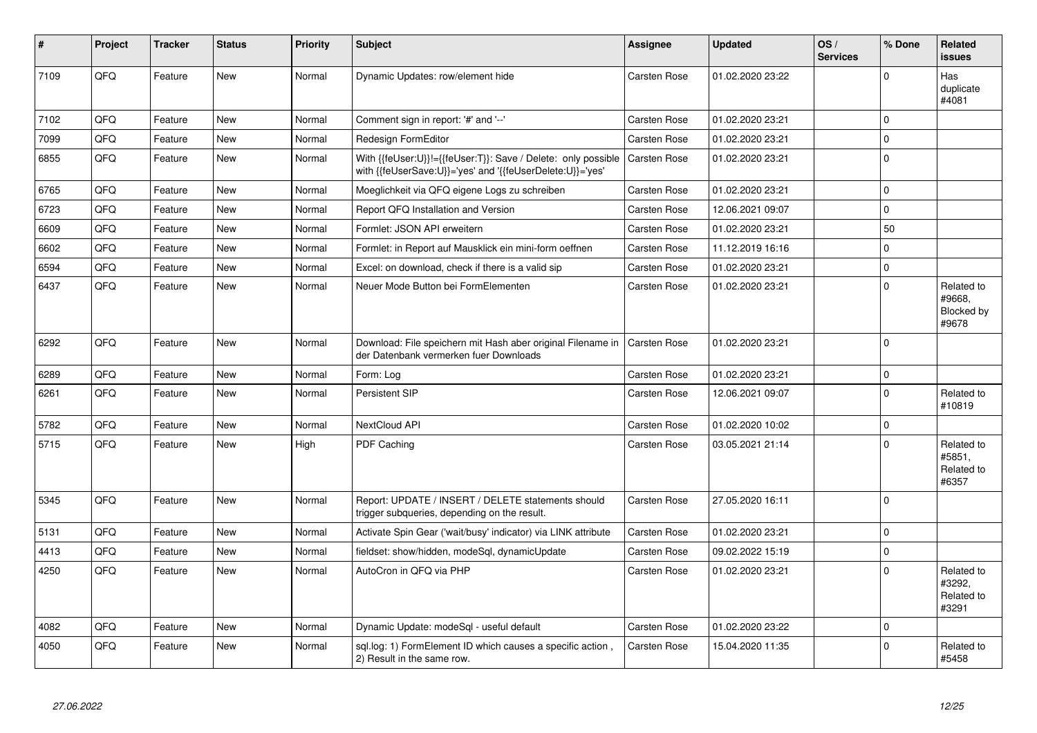| #    | Project | <b>Tracker</b> | <b>Status</b> | <b>Priority</b> | <b>Subject</b>                                                                                                             | <b>Assignee</b>     | <b>Updated</b>   | OS/<br><b>Services</b> | % Done      | Related<br><b>issues</b>                    |
|------|---------|----------------|---------------|-----------------|----------------------------------------------------------------------------------------------------------------------------|---------------------|------------------|------------------------|-------------|---------------------------------------------|
| 7109 | QFQ     | Feature        | <b>New</b>    | Normal          | Dynamic Updates: row/element hide                                                                                          | <b>Carsten Rose</b> | 01.02.2020 23:22 |                        | $\Omega$    | Has<br>duplicate<br>#4081                   |
| 7102 | QFQ     | Feature        | <b>New</b>    | Normal          | Comment sign in report: '#' and '--'                                                                                       | Carsten Rose        | 01.02.2020 23:21 |                        | $\Omega$    |                                             |
| 7099 | QFQ     | Feature        | <b>New</b>    | Normal          | Redesign FormEditor                                                                                                        | Carsten Rose        | 01.02.2020 23:21 |                        | $\mathbf 0$ |                                             |
| 6855 | QFQ     | Feature        | <b>New</b>    | Normal          | With {{feUser:U}}!={{feUser:T}}: Save / Delete: only possible<br>with {{feUserSave:U}}='yes' and '{{feUserDelete:U}}='yes' | <b>Carsten Rose</b> | 01.02.2020 23:21 |                        | $\Omega$    |                                             |
| 6765 | QFQ     | Feature        | <b>New</b>    | Normal          | Moeglichkeit via QFQ eigene Logs zu schreiben                                                                              | Carsten Rose        | 01.02.2020 23:21 |                        | $\mathbf 0$ |                                             |
| 6723 | QFQ     | Feature        | <b>New</b>    | Normal          | Report QFQ Installation and Version                                                                                        | Carsten Rose        | 12.06.2021 09:07 |                        | $\mathbf 0$ |                                             |
| 6609 | QFQ     | Feature        | <b>New</b>    | Normal          | Formlet: JSON API erweitern                                                                                                | Carsten Rose        | 01.02.2020 23:21 |                        | 50          |                                             |
| 6602 | QFQ     | Feature        | New           | Normal          | Formlet: in Report auf Mausklick ein mini-form oeffnen                                                                     | Carsten Rose        | 11.12.2019 16:16 |                        | $\Omega$    |                                             |
| 6594 | QFQ     | Feature        | New           | Normal          | Excel: on download, check if there is a valid sip                                                                          | Carsten Rose        | 01.02.2020 23:21 |                        | $\mathbf 0$ |                                             |
| 6437 | QFQ     | Feature        | New           | Normal          | Neuer Mode Button bei FormElementen                                                                                        | Carsten Rose        | 01.02.2020 23:21 |                        | $\mathbf 0$ | Related to<br>#9668,<br>Blocked by<br>#9678 |
| 6292 | QFQ     | Feature        | <b>New</b>    | Normal          | Download: File speichern mit Hash aber original Filename in<br>der Datenbank vermerken fuer Downloads                      | <b>Carsten Rose</b> | 01.02.2020 23:21 |                        | $\Omega$    |                                             |
| 6289 | QFQ     | Feature        | New           | Normal          | Form: Log                                                                                                                  | Carsten Rose        | 01.02.2020 23:21 |                        | $\Omega$    |                                             |
| 6261 | QFQ     | Feature        | <b>New</b>    | Normal          | Persistent SIP                                                                                                             | Carsten Rose        | 12.06.2021 09:07 |                        | $\Omega$    | Related to<br>#10819                        |
| 5782 | QFQ     | Feature        | <b>New</b>    | Normal          | NextCloud API                                                                                                              | Carsten Rose        | 01.02.2020 10:02 |                        | $\mathbf 0$ |                                             |
| 5715 | QFQ     | Feature        | <b>New</b>    | High            | PDF Caching                                                                                                                | Carsten Rose        | 03.05.2021 21:14 |                        | $\Omega$    | Related to<br>#5851,<br>Related to<br>#6357 |
| 5345 | QFQ     | Feature        | <b>New</b>    | Normal          | Report: UPDATE / INSERT / DELETE statements should<br>trigger subqueries, depending on the result.                         | Carsten Rose        | 27.05.2020 16:11 |                        | $\Omega$    |                                             |
| 5131 | QFQ     | Feature        | <b>New</b>    | Normal          | Activate Spin Gear ('wait/busy' indicator) via LINK attribute                                                              | Carsten Rose        | 01.02.2020 23:21 |                        | $\mathbf 0$ |                                             |
| 4413 | QFQ     | Feature        | <b>New</b>    | Normal          | fieldset: show/hidden, modeSql, dynamicUpdate                                                                              | Carsten Rose        | 09.02.2022 15:19 |                        | $\mathbf 0$ |                                             |
| 4250 | QFQ     | Feature        | New           | Normal          | AutoCron in QFQ via PHP                                                                                                    | Carsten Rose        | 01.02.2020 23:21 |                        | $\Omega$    | Related to<br>#3292,<br>Related to<br>#3291 |
| 4082 | QFQ     | Feature        | <b>New</b>    | Normal          | Dynamic Update: modeSgl - useful default                                                                                   | Carsten Rose        | 01.02.2020 23:22 |                        | $\Omega$    |                                             |
| 4050 | QFQ     | Feature        | <b>New</b>    | Normal          | sql.log: 1) FormElement ID which causes a specific action,<br>2) Result in the same row.                                   | Carsten Rose        | 15.04.2020 11:35 |                        | $\Omega$    | Related to<br>#5458                         |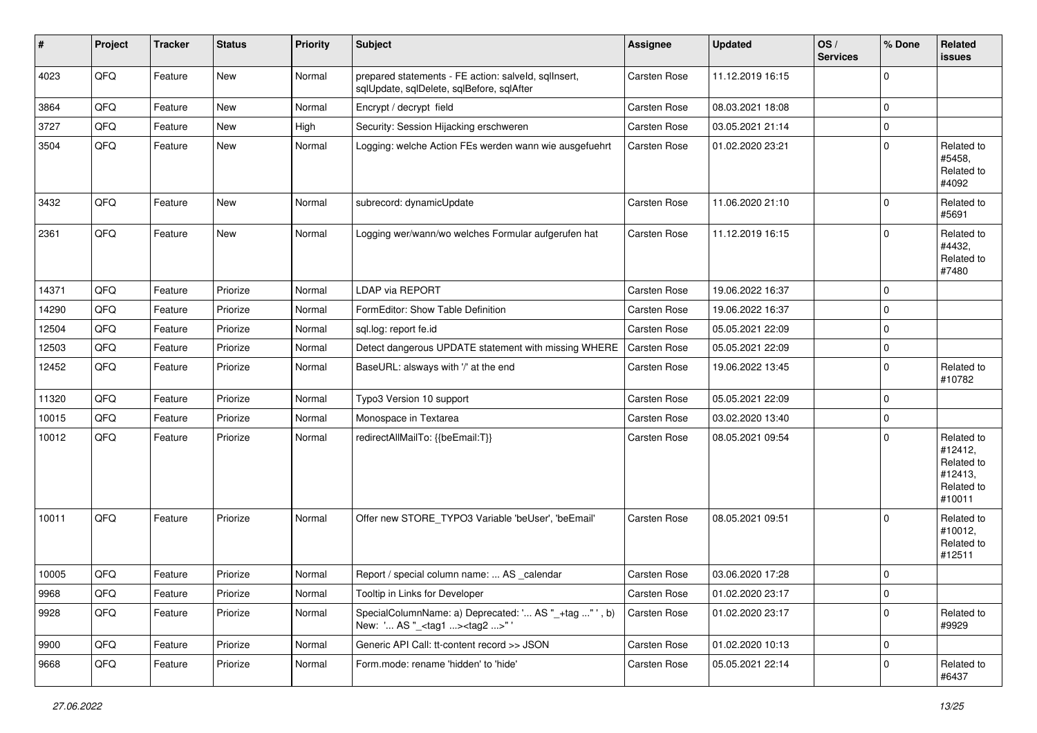| $\vert$ # | Project | <b>Tracker</b> | <b>Status</b> | <b>Priority</b> | <b>Subject</b>                                                                                     | Assignee            | <b>Updated</b>   | OS/<br><b>Services</b> | % Done      | Related<br>issues                                                      |
|-----------|---------|----------------|---------------|-----------------|----------------------------------------------------------------------------------------------------|---------------------|------------------|------------------------|-------------|------------------------------------------------------------------------|
| 4023      | QFQ     | Feature        | <b>New</b>    | Normal          | prepared statements - FE action: salveld, sqlInsert,<br>sqlUpdate, sqlDelete, sqlBefore, sqlAfter  | <b>Carsten Rose</b> | 11.12.2019 16:15 |                        | $\Omega$    |                                                                        |
| 3864      | QFQ     | Feature        | <b>New</b>    | Normal          | Encrypt / decrypt field                                                                            | Carsten Rose        | 08.03.2021 18:08 |                        | $\mathbf 0$ |                                                                        |
| 3727      | QFQ     | Feature        | New           | High            | Security: Session Hijacking erschweren                                                             | Carsten Rose        | 03.05.2021 21:14 |                        | $\Omega$    |                                                                        |
| 3504      | QFQ     | Feature        | New           | Normal          | Logging: welche Action FEs werden wann wie ausgefuehrt                                             | Carsten Rose        | 01.02.2020 23:21 |                        | $\Omega$    | Related to<br>#5458,<br>Related to<br>#4092                            |
| 3432      | QFQ     | Feature        | <b>New</b>    | Normal          | subrecord: dynamicUpdate                                                                           | Carsten Rose        | 11.06.2020 21:10 |                        | $\Omega$    | Related to<br>#5691                                                    |
| 2361      | QFQ     | Feature        | New           | Normal          | Logging wer/wann/wo welches Formular aufgerufen hat                                                | Carsten Rose        | 11.12.2019 16:15 |                        | $\Omega$    | Related to<br>#4432,<br>Related to<br>#7480                            |
| 14371     | QFQ     | Feature        | Priorize      | Normal          | LDAP via REPORT                                                                                    | Carsten Rose        | 19.06.2022 16:37 |                        | $\Omega$    |                                                                        |
| 14290     | QFQ     | Feature        | Priorize      | Normal          | FormEditor: Show Table Definition                                                                  | Carsten Rose        | 19.06.2022 16:37 |                        | $\mathbf 0$ |                                                                        |
| 12504     | QFQ     | Feature        | Priorize      | Normal          | sql.log: report fe.id                                                                              | Carsten Rose        | 05.05.2021 22:09 |                        | $\mathbf 0$ |                                                                        |
| 12503     | QFQ     | Feature        | Priorize      | Normal          | Detect dangerous UPDATE statement with missing WHERE                                               | Carsten Rose        | 05.05.2021 22:09 |                        | $\Omega$    |                                                                        |
| 12452     | QFQ     | Feature        | Priorize      | Normal          | BaseURL: alsways with '/' at the end                                                               | Carsten Rose        | 19.06.2022 13:45 |                        | $\mathbf 0$ | Related to<br>#10782                                                   |
| 11320     | QFQ     | Feature        | Priorize      | Normal          | Typo3 Version 10 support                                                                           | Carsten Rose        | 05.05.2021 22:09 |                        | 0           |                                                                        |
| 10015     | QFQ     | Feature        | Priorize      | Normal          | Monospace in Textarea                                                                              | Carsten Rose        | 03.02.2020 13:40 |                        | $\mathbf 0$ |                                                                        |
| 10012     | QFQ     | Feature        | Priorize      | Normal          | redirectAllMailTo: {{beEmail:T}}                                                                   | Carsten Rose        | 08.05.2021 09:54 |                        | $\Omega$    | Related to<br>#12412,<br>Related to<br>#12413,<br>Related to<br>#10011 |
| 10011     | QFQ     | Feature        | Priorize      | Normal          | Offer new STORE_TYPO3 Variable 'beUser', 'beEmail'                                                 | <b>Carsten Rose</b> | 08.05.2021 09:51 |                        | $\Omega$    | Related to<br>#10012,<br>Related to<br>#12511                          |
| 10005     | QFQ     | Feature        | Priorize      | Normal          | Report / special column name:  AS calendar                                                         | Carsten Rose        | 03.06.2020 17:28 |                        | $\Omega$    |                                                                        |
| 9968      | QFQ     | Feature        | Priorize      | Normal          | Tooltip in Links for Developer                                                                     | Carsten Rose        | 01.02.2020 23:17 |                        | $\pmb{0}$   |                                                                        |
| 9928      | QFQ     | Feature        | Priorize      | Normal          | SpecialColumnName: a) Deprecated: ' AS "_+tag " ', b)<br>New: ' AS "_ <tag1><tag2>"'</tag2></tag1> | Carsten Rose        | 01.02.2020 23:17 |                        | 0           | Related to<br>#9929                                                    |
| 9900      | QFQ     | Feature        | Priorize      | Normal          | Generic API Call: tt-content record >> JSON                                                        | Carsten Rose        | 01.02.2020 10:13 |                        | $\mathbf 0$ |                                                                        |
| 9668      | QFQ     | Feature        | Priorize      | Normal          | Form.mode: rename 'hidden' to 'hide'                                                               | Carsten Rose        | 05.05.2021 22:14 |                        | 0           | Related to<br>#6437                                                    |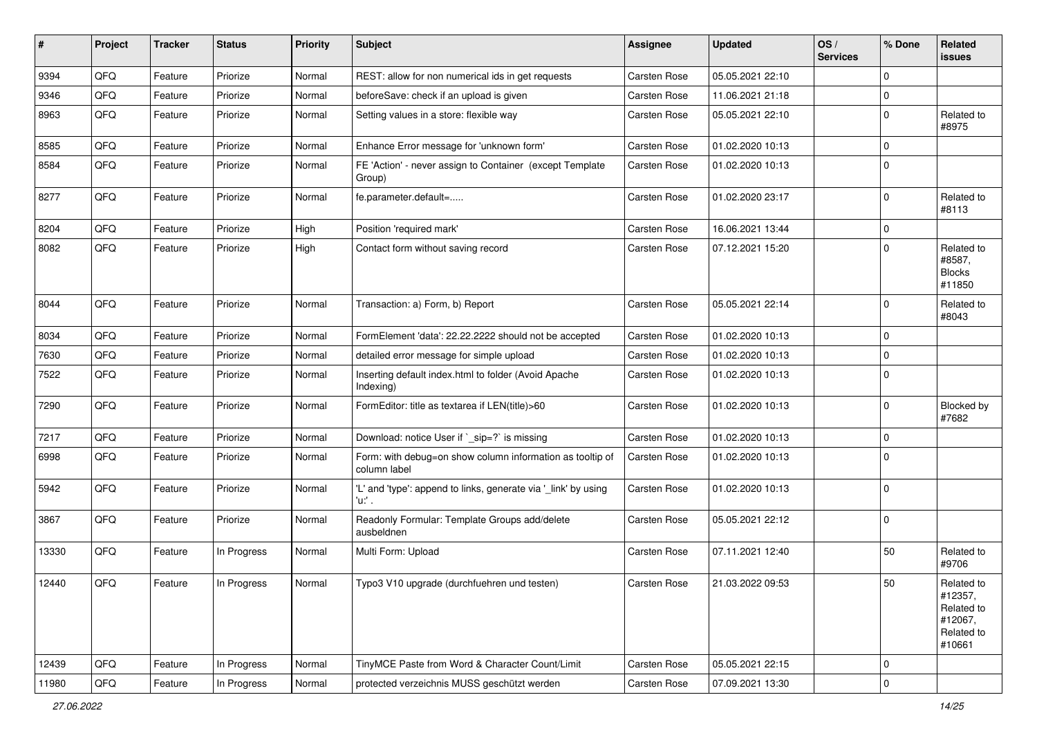| ∦     | Project | <b>Tracker</b> | <b>Status</b> | <b>Priority</b> | Subject                                                                   | Assignee            | <b>Updated</b>   | OS/<br><b>Services</b> | % Done      | Related<br>issues                                                      |
|-------|---------|----------------|---------------|-----------------|---------------------------------------------------------------------------|---------------------|------------------|------------------------|-------------|------------------------------------------------------------------------|
| 9394  | QFQ     | Feature        | Priorize      | Normal          | REST: allow for non numerical ids in get requests                         | <b>Carsten Rose</b> | 05.05.2021 22:10 |                        | $\Omega$    |                                                                        |
| 9346  | QFQ     | Feature        | Priorize      | Normal          | beforeSave: check if an upload is given                                   | Carsten Rose        | 11.06.2021 21:18 |                        | 0           |                                                                        |
| 8963  | QFQ     | Feature        | Priorize      | Normal          | Setting values in a store: flexible way                                   | Carsten Rose        | 05.05.2021 22:10 |                        | $\mathbf 0$ | Related to<br>#8975                                                    |
| 8585  | QFQ     | Feature        | Priorize      | Normal          | Enhance Error message for 'unknown form'                                  | Carsten Rose        | 01.02.2020 10:13 |                        | $\Omega$    |                                                                        |
| 8584  | QFQ     | Feature        | Priorize      | Normal          | FE 'Action' - never assign to Container (except Template<br>Group)        | Carsten Rose        | 01.02.2020 10:13 |                        | $\Omega$    |                                                                        |
| 8277  | QFQ     | Feature        | Priorize      | Normal          | fe.parameter.default=                                                     | Carsten Rose        | 01.02.2020 23:17 |                        | $\Omega$    | Related to<br>#8113                                                    |
| 8204  | QFQ     | Feature        | Priorize      | High            | Position 'required mark'                                                  | Carsten Rose        | 16.06.2021 13:44 |                        | 0           |                                                                        |
| 8082  | QFQ     | Feature        | Priorize      | High            | Contact form without saving record                                        | Carsten Rose        | 07.12.2021 15:20 |                        | $\mathbf 0$ | Related to<br>#8587,<br><b>Blocks</b><br>#11850                        |
| 8044  | QFQ     | Feature        | Priorize      | Normal          | Transaction: a) Form, b) Report                                           | Carsten Rose        | 05.05.2021 22:14 |                        | $\mathbf 0$ | Related to<br>#8043                                                    |
| 8034  | QFQ     | Feature        | Priorize      | Normal          | FormElement 'data': 22.22.2222 should not be accepted                     | Carsten Rose        | 01.02.2020 10:13 |                        | $\mathbf 0$ |                                                                        |
| 7630  | QFQ     | Feature        | Priorize      | Normal          | detailed error message for simple upload                                  | Carsten Rose        | 01.02.2020 10:13 |                        | $\mathbf 0$ |                                                                        |
| 7522  | QFQ     | Feature        | Priorize      | Normal          | Inserting default index.html to folder (Avoid Apache<br>Indexing)         | Carsten Rose        | 01.02.2020 10:13 |                        | $\mathbf 0$ |                                                                        |
| 7290  | QFQ     | Feature        | Priorize      | Normal          | FormEditor: title as textarea if LEN(title)>60                            | Carsten Rose        | 01.02.2020 10:13 |                        | $\mathbf 0$ | Blocked by<br>#7682                                                    |
| 7217  | QFQ     | Feature        | Priorize      | Normal          | Download: notice User if `_sip=?` is missing                              | Carsten Rose        | 01.02.2020 10:13 |                        | $\mathbf 0$ |                                                                        |
| 6998  | QFQ     | Feature        | Priorize      | Normal          | Form: with debug=on show column information as tooltip of<br>column label | Carsten Rose        | 01.02.2020 10:13 |                        | $\Omega$    |                                                                        |
| 5942  | QFQ     | Feature        | Priorize      | Normal          | 'L' and 'type': append to links, generate via '_link' by using<br>'u:' .  | Carsten Rose        | 01.02.2020 10:13 |                        | 0           |                                                                        |
| 3867  | QFQ     | Feature        | Priorize      | Normal          | Readonly Formular: Template Groups add/delete<br>ausbeldnen               | Carsten Rose        | 05.05.2021 22:12 |                        | 0           |                                                                        |
| 13330 | QFQ     | Feature        | In Progress   | Normal          | Multi Form: Upload                                                        | Carsten Rose        | 07.11.2021 12:40 |                        | 50          | Related to<br>#9706                                                    |
| 12440 | QFQ     | Feature        | In Progress   | Normal          | Typo3 V10 upgrade (durchfuehren und testen)                               | Carsten Rose        | 21.03.2022 09:53 |                        | 50          | Related to<br>#12357,<br>Related to<br>#12067,<br>Related to<br>#10661 |
| 12439 | QFQ     | Feature        | In Progress   | Normal          | TinyMCE Paste from Word & Character Count/Limit                           | Carsten Rose        | 05.05.2021 22:15 |                        | 0           |                                                                        |
| 11980 | QFQ     | Feature        | In Progress   | Normal          | protected verzeichnis MUSS geschützt werden                               | Carsten Rose        | 07.09.2021 13:30 |                        | $\mathbf 0$ |                                                                        |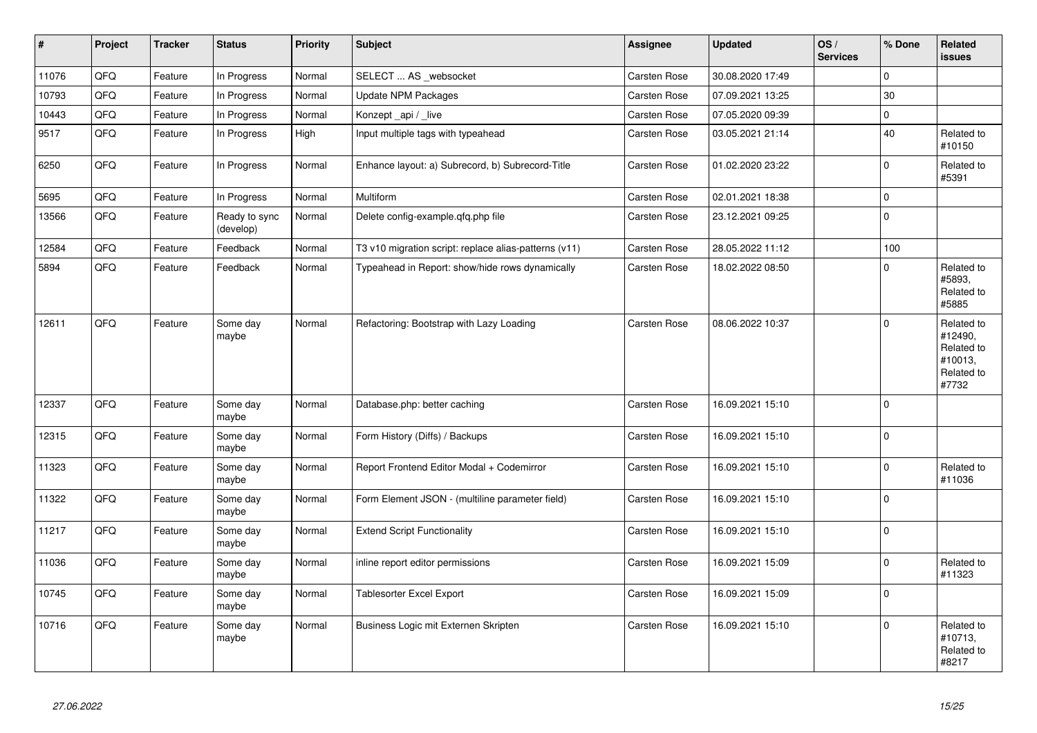| $\vert$ # | Project | <b>Tracker</b> | <b>Status</b>              | <b>Priority</b> | <b>Subject</b>                                        | Assignee            | <b>Updated</b>   | OS/<br><b>Services</b> | % Done      | Related<br><b>issues</b>                                              |
|-----------|---------|----------------|----------------------------|-----------------|-------------------------------------------------------|---------------------|------------------|------------------------|-------------|-----------------------------------------------------------------------|
| 11076     | QFQ     | Feature        | In Progress                | Normal          | SELECT  AS _websocket                                 | Carsten Rose        | 30.08.2020 17:49 |                        | $\Omega$    |                                                                       |
| 10793     | QFQ     | Feature        | In Progress                | Normal          | <b>Update NPM Packages</b>                            | Carsten Rose        | 07.09.2021 13:25 |                        | 30          |                                                                       |
| 10443     | QFQ     | Feature        | In Progress                | Normal          | Konzept api / live                                    | <b>Carsten Rose</b> | 07.05.2020 09:39 |                        | $\mathbf 0$ |                                                                       |
| 9517      | QFQ     | Feature        | In Progress                | High            | Input multiple tags with typeahead                    | Carsten Rose        | 03.05.2021 21:14 |                        | 40          | Related to<br>#10150                                                  |
| 6250      | QFQ     | Feature        | In Progress                | Normal          | Enhance layout: a) Subrecord, b) Subrecord-Title      | Carsten Rose        | 01.02.2020 23:22 |                        | $\pmb{0}$   | Related to<br>#5391                                                   |
| 5695      | QFQ     | Feature        | In Progress                | Normal          | Multiform                                             | Carsten Rose        | 02.01.2021 18:38 |                        | $\mathbf 0$ |                                                                       |
| 13566     | QFQ     | Feature        | Ready to sync<br>(develop) | Normal          | Delete config-example.qfq.php file                    | Carsten Rose        | 23.12.2021 09:25 |                        | $\mathbf 0$ |                                                                       |
| 12584     | QFQ     | Feature        | Feedback                   | Normal          | T3 v10 migration script: replace alias-patterns (v11) | Carsten Rose        | 28.05.2022 11:12 |                        | 100         |                                                                       |
| 5894      | QFQ     | Feature        | Feedback                   | Normal          | Typeahead in Report: show/hide rows dynamically       | Carsten Rose        | 18.02.2022 08:50 |                        | $\mathbf 0$ | Related to<br>#5893,<br>Related to<br>#5885                           |
| 12611     | QFQ     | Feature        | Some day<br>maybe          | Normal          | Refactoring: Bootstrap with Lazy Loading              | Carsten Rose        | 08.06.2022 10:37 |                        | $\mathbf 0$ | Related to<br>#12490,<br>Related to<br>#10013,<br>Related to<br>#7732 |
| 12337     | QFQ     | Feature        | Some day<br>maybe          | Normal          | Database.php: better caching                          | Carsten Rose        | 16.09.2021 15:10 |                        | $\pmb{0}$   |                                                                       |
| 12315     | QFQ     | Feature        | Some day<br>maybe          | Normal          | Form History (Diffs) / Backups                        | Carsten Rose        | 16.09.2021 15:10 |                        | $\Omega$    |                                                                       |
| 11323     | QFQ     | Feature        | Some day<br>maybe          | Normal          | Report Frontend Editor Modal + Codemirror             | <b>Carsten Rose</b> | 16.09.2021 15:10 |                        | $\mathbf 0$ | Related to<br>#11036                                                  |
| 11322     | QFQ     | Feature        | Some day<br>maybe          | Normal          | Form Element JSON - (multiline parameter field)       | <b>Carsten Rose</b> | 16.09.2021 15:10 |                        | $\mathbf 0$ |                                                                       |
| 11217     | QFQ     | Feature        | Some day<br>maybe          | Normal          | <b>Extend Script Functionality</b>                    | Carsten Rose        | 16.09.2021 15:10 |                        | $\mathbf 0$ |                                                                       |
| 11036     | QFQ     | Feature        | Some day<br>maybe          | Normal          | inline report editor permissions                      | Carsten Rose        | 16.09.2021 15:09 |                        | $\mathbf 0$ | Related to<br>#11323                                                  |
| 10745     | QFQ     | Feature        | Some day<br>maybe          | Normal          | <b>Tablesorter Excel Export</b>                       | Carsten Rose        | 16.09.2021 15:09 |                        | $\mathbf 0$ |                                                                       |
| 10716     | QFQ     | Feature        | Some day<br>maybe          | Normal          | Business Logic mit Externen Skripten                  | <b>Carsten Rose</b> | 16.09.2021 15:10 |                        | $\mathbf 0$ | Related to<br>#10713,<br>Related to<br>#8217                          |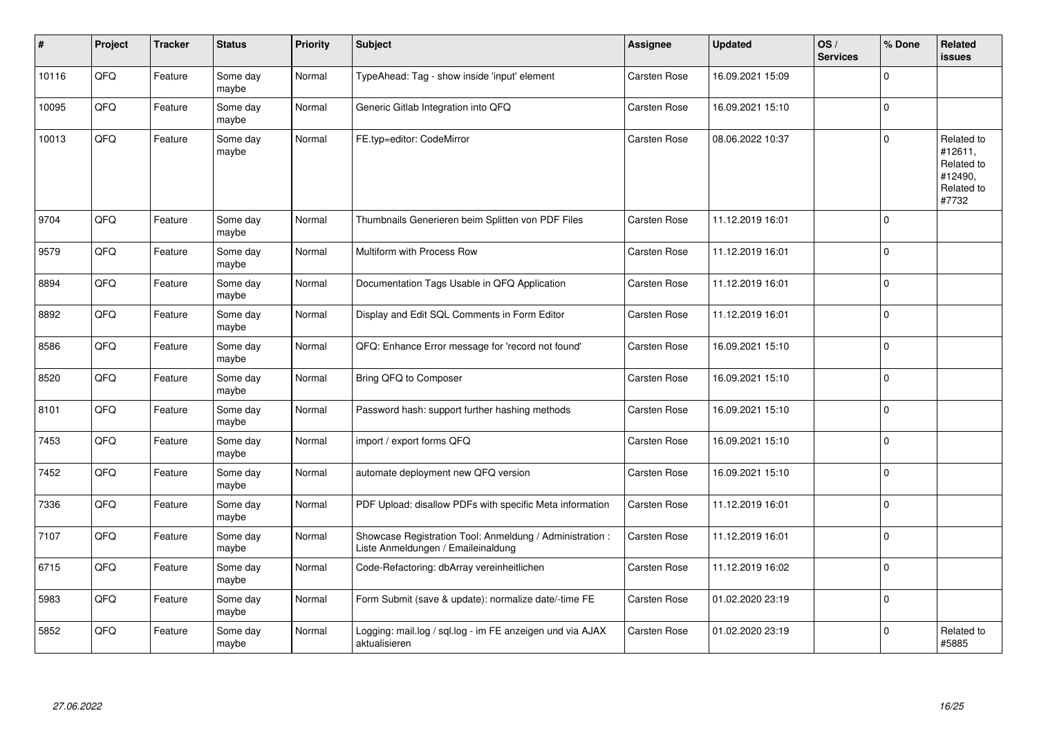| #     | Project | <b>Tracker</b> | <b>Status</b>     | <b>Priority</b> | <b>Subject</b>                                                                                 | <b>Assignee</b> | <b>Updated</b>   | OS/<br><b>Services</b> | % Done         | Related<br><b>issues</b>                                              |
|-------|---------|----------------|-------------------|-----------------|------------------------------------------------------------------------------------------------|-----------------|------------------|------------------------|----------------|-----------------------------------------------------------------------|
| 10116 | QFQ     | Feature        | Some day<br>maybe | Normal          | TypeAhead: Tag - show inside 'input' element                                                   | Carsten Rose    | 16.09.2021 15:09 |                        | $\mathbf 0$    |                                                                       |
| 10095 | QFQ     | Feature        | Some day<br>maybe | Normal          | Generic Gitlab Integration into QFQ                                                            | Carsten Rose    | 16.09.2021 15:10 |                        | 0              |                                                                       |
| 10013 | QFQ     | Feature        | Some day<br>maybe | Normal          | FE.typ=editor: CodeMirror                                                                      | Carsten Rose    | 08.06.2022 10:37 |                        | $\mathbf 0$    | Related to<br>#12611,<br>Related to<br>#12490,<br>Related to<br>#7732 |
| 9704  | QFQ     | Feature        | Some day<br>maybe | Normal          | Thumbnails Generieren beim Splitten von PDF Files                                              | Carsten Rose    | 11.12.2019 16:01 |                        | 0              |                                                                       |
| 9579  | QFQ     | Feature        | Some day<br>maybe | Normal          | Multiform with Process Row                                                                     | Carsten Rose    | 11.12.2019 16:01 |                        | $\mathbf 0$    |                                                                       |
| 8894  | QFQ     | Feature        | Some day<br>maybe | Normal          | Documentation Tags Usable in QFQ Application                                                   | Carsten Rose    | 11.12.2019 16:01 |                        | 0              |                                                                       |
| 8892  | QFQ     | Feature        | Some day<br>maybe | Normal          | Display and Edit SQL Comments in Form Editor                                                   | Carsten Rose    | 11.12.2019 16:01 |                        | $\overline{0}$ |                                                                       |
| 8586  | QFQ     | Feature        | Some day<br>maybe | Normal          | QFQ: Enhance Error message for 'record not found'                                              | Carsten Rose    | 16.09.2021 15:10 |                        | 0              |                                                                       |
| 8520  | QFQ     | Feature        | Some day<br>maybe | Normal          | Bring QFQ to Composer                                                                          | Carsten Rose    | 16.09.2021 15:10 |                        | 0              |                                                                       |
| 8101  | QFQ     | Feature        | Some day<br>maybe | Normal          | Password hash: support further hashing methods                                                 | Carsten Rose    | 16.09.2021 15:10 |                        | $\mathbf 0$    |                                                                       |
| 7453  | QFQ     | Feature        | Some day<br>maybe | Normal          | import / export forms QFQ                                                                      | Carsten Rose    | 16.09.2021 15:10 |                        | $\mathbf 0$    |                                                                       |
| 7452  | QFQ     | Feature        | Some day<br>maybe | Normal          | automate deployment new QFQ version                                                            | Carsten Rose    | 16.09.2021 15:10 |                        | $\mathbf 0$    |                                                                       |
| 7336  | QFQ     | Feature        | Some day<br>maybe | Normal          | PDF Upload: disallow PDFs with specific Meta information                                       | Carsten Rose    | 11.12.2019 16:01 |                        | 0              |                                                                       |
| 7107  | QFQ     | Feature        | Some day<br>maybe | Normal          | Showcase Registration Tool: Anmeldung / Administration :<br>Liste Anmeldungen / Emaileinaldung | Carsten Rose    | 11.12.2019 16:01 |                        | $\mathbf 0$    |                                                                       |
| 6715  | QFQ     | Feature        | Some day<br>maybe | Normal          | Code-Refactoring: dbArray vereinheitlichen                                                     | Carsten Rose    | 11.12.2019 16:02 |                        | $\mathbf 0$    |                                                                       |
| 5983  | QFQ     | Feature        | Some day<br>maybe | Normal          | Form Submit (save & update): normalize date/-time FE                                           | Carsten Rose    | 01.02.2020 23:19 |                        | $\mathbf 0$    |                                                                       |
| 5852  | QFQ     | Feature        | Some day<br>maybe | Normal          | Logging: mail.log / sql.log - im FE anzeigen und via AJAX<br>aktualisieren                     | Carsten Rose    | 01.02.2020 23:19 |                        | $\Omega$       | Related to<br>#5885                                                   |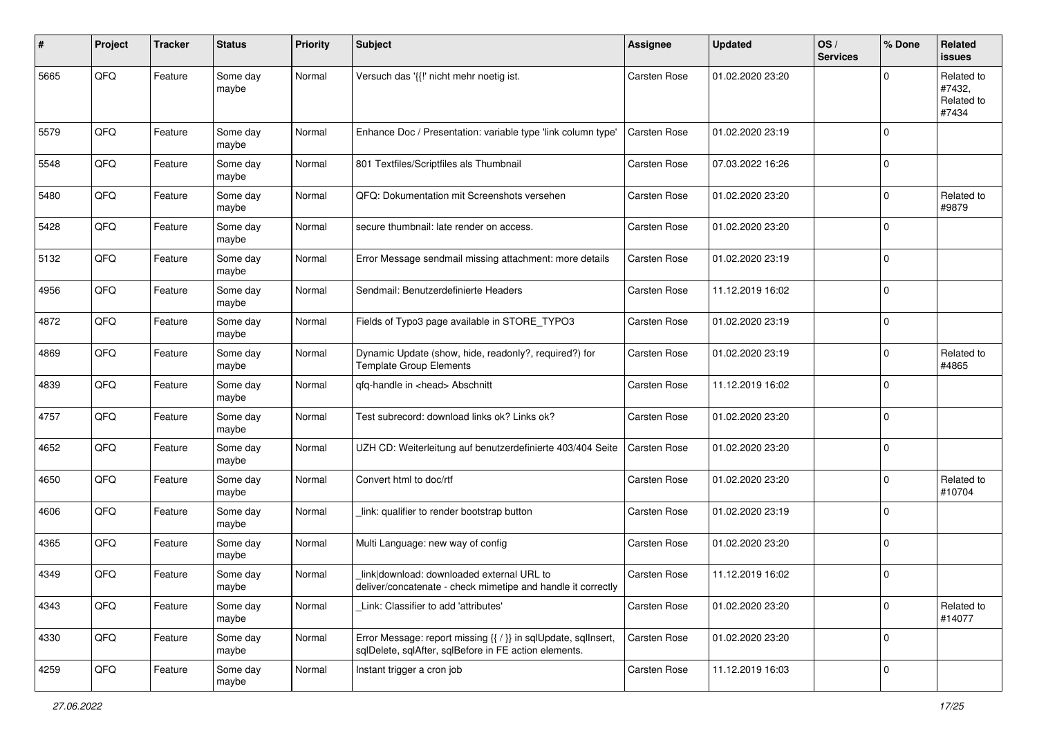| #    | Project | <b>Tracker</b> | <b>Status</b>     | <b>Priority</b> | <b>Subject</b>                                                                                                          | <b>Assignee</b>     | <b>Updated</b>   | OS/<br><b>Services</b> | % Done         | Related<br><b>issues</b>                    |
|------|---------|----------------|-------------------|-----------------|-------------------------------------------------------------------------------------------------------------------------|---------------------|------------------|------------------------|----------------|---------------------------------------------|
| 5665 | QFQ     | Feature        | Some day<br>maybe | Normal          | Versuch das '{{!' nicht mehr noetig ist.                                                                                | Carsten Rose        | 01.02.2020 23:20 |                        | $\Omega$       | Related to<br>#7432,<br>Related to<br>#7434 |
| 5579 | QFQ     | Feature        | Some day<br>maybe | Normal          | Enhance Doc / Presentation: variable type 'link column type'                                                            | Carsten Rose        | 01.02.2020 23:19 |                        | $\mathbf 0$    |                                             |
| 5548 | QFQ     | Feature        | Some day<br>maybe | Normal          | 801 Textfiles/Scriptfiles als Thumbnail                                                                                 | Carsten Rose        | 07.03.2022 16:26 |                        | $\mathbf 0$    |                                             |
| 5480 | QFQ     | Feature        | Some day<br>maybe | Normal          | QFQ: Dokumentation mit Screenshots versehen                                                                             | Carsten Rose        | 01.02.2020 23:20 |                        | $\mathbf 0$    | Related to<br>#9879                         |
| 5428 | QFQ     | Feature        | Some day<br>maybe | Normal          | secure thumbnail: late render on access.                                                                                | Carsten Rose        | 01.02.2020 23:20 |                        | $\Omega$       |                                             |
| 5132 | QFQ     | Feature        | Some day<br>maybe | Normal          | Error Message sendmail missing attachment: more details                                                                 | Carsten Rose        | 01.02.2020 23:19 |                        | $\Omega$       |                                             |
| 4956 | QFQ     | Feature        | Some day<br>maybe | Normal          | Sendmail: Benutzerdefinierte Headers                                                                                    | Carsten Rose        | 11.12.2019 16:02 |                        | $\mathbf 0$    |                                             |
| 4872 | QFQ     | Feature        | Some day<br>maybe | Normal          | Fields of Typo3 page available in STORE_TYPO3                                                                           | Carsten Rose        | 01.02.2020 23:19 |                        | 0              |                                             |
| 4869 | QFQ     | Feature        | Some day<br>maybe | Normal          | Dynamic Update (show, hide, readonly?, required?) for<br><b>Template Group Elements</b>                                 | Carsten Rose        | 01.02.2020 23:19 |                        | $\Omega$       | Related to<br>#4865                         |
| 4839 | QFQ     | Feature        | Some day<br>maybe | Normal          | qfq-handle in <head> Abschnitt</head>                                                                                   | Carsten Rose        | 11.12.2019 16:02 |                        | $\mathbf 0$    |                                             |
| 4757 | QFQ     | Feature        | Some day<br>maybe | Normal          | Test subrecord: download links ok? Links ok?                                                                            | Carsten Rose        | 01.02.2020 23:20 |                        | 0              |                                             |
| 4652 | QFQ     | Feature        | Some day<br>maybe | Normal          | UZH CD: Weiterleitung auf benutzerdefinierte 403/404 Seite                                                              | <b>Carsten Rose</b> | 01.02.2020 23:20 |                        | 0              |                                             |
| 4650 | QFQ     | Feature        | Some day<br>maybe | Normal          | Convert html to doc/rtf                                                                                                 | Carsten Rose        | 01.02.2020 23:20 |                        | $\mathbf 0$    | Related to<br>#10704                        |
| 4606 | QFQ     | Feature        | Some day<br>maybe | Normal          | link: qualifier to render bootstrap button                                                                              | Carsten Rose        | 01.02.2020 23:19 |                        | $\Omega$       |                                             |
| 4365 | QFQ     | Feature        | Some day<br>maybe | Normal          | Multi Language: new way of config                                                                                       | Carsten Rose        | 01.02.2020 23:20 |                        | 0              |                                             |
| 4349 | QFQ     | Feature        | Some day<br>maybe | Normal          | link download: downloaded external URL to<br>deliver/concatenate - check mimetipe and handle it correctly               | Carsten Rose        | 11.12.2019 16:02 |                        | $\mathbf 0$    |                                             |
| 4343 | QFQ     | Feature        | Some day<br>maybe | Normal          | Link: Classifier to add 'attributes'                                                                                    | Carsten Rose        | 01.02.2020 23:20 |                        | 0              | Related to<br>#14077                        |
| 4330 | QFQ     | Feature        | Some day<br>maybe | Normal          | Error Message: report missing {{ / }} in sqlUpdate, sqlInsert,<br>sqlDelete, sqlAfter, sqlBefore in FE action elements. | Carsten Rose        | 01.02.2020 23:20 |                        | 0              |                                             |
| 4259 | QFQ     | Feature        | Some day<br>maybe | Normal          | Instant trigger a cron job                                                                                              | Carsten Rose        | 11.12.2019 16:03 |                        | $\overline{0}$ |                                             |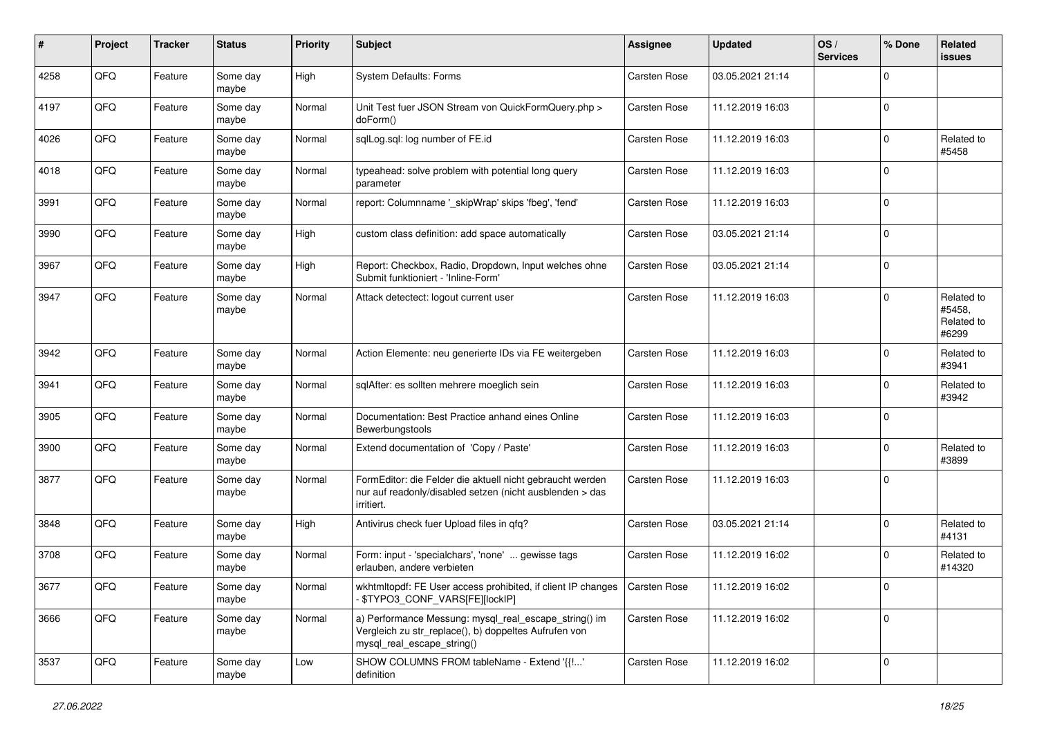| #    | Project | <b>Tracker</b> | <b>Status</b>     | <b>Priority</b> | <b>Subject</b>                                                                                                                               | Assignee            | <b>Updated</b>   | OS/<br><b>Services</b> | % Done       | Related<br>issues                           |
|------|---------|----------------|-------------------|-----------------|----------------------------------------------------------------------------------------------------------------------------------------------|---------------------|------------------|------------------------|--------------|---------------------------------------------|
| 4258 | QFQ     | Feature        | Some day<br>maybe | High            | <b>System Defaults: Forms</b>                                                                                                                | <b>Carsten Rose</b> | 03.05.2021 21:14 |                        | $\Omega$     |                                             |
| 4197 | QFQ     | Feature        | Some day<br>maybe | Normal          | Unit Test fuer JSON Stream von QuickFormQuery.php ><br>doForm()                                                                              | Carsten Rose        | 11.12.2019 16:03 |                        | $\Omega$     |                                             |
| 4026 | QFQ     | Feature        | Some dav<br>maybe | Normal          | sqlLog.sql: log number of FE.id                                                                                                              | Carsten Rose        | 11.12.2019 16:03 |                        | $\Omega$     | Related to<br>#5458                         |
| 4018 | QFQ     | Feature        | Some day<br>maybe | Normal          | typeahead: solve problem with potential long query<br>parameter                                                                              | Carsten Rose        | 11.12.2019 16:03 |                        | $\Omega$     |                                             |
| 3991 | QFQ     | Feature        | Some day<br>maybe | Normal          | report: Columnname '_skipWrap' skips 'fbeg', 'fend'                                                                                          | Carsten Rose        | 11.12.2019 16:03 |                        | $\Omega$     |                                             |
| 3990 | QFQ     | Feature        | Some day<br>maybe | High            | custom class definition: add space automatically                                                                                             | Carsten Rose        | 03.05.2021 21:14 |                        | $\Omega$     |                                             |
| 3967 | QFQ     | Feature        | Some day<br>maybe | High            | Report: Checkbox, Radio, Dropdown, Input welches ohne<br>Submit funktioniert - 'Inline-Form'                                                 | Carsten Rose        | 03.05.2021 21:14 |                        | $\Omega$     |                                             |
| 3947 | QFQ     | Feature        | Some day<br>maybe | Normal          | Attack detectect: logout current user                                                                                                        | Carsten Rose        | 11.12.2019 16:03 |                        | $\Omega$     | Related to<br>#5458,<br>Related to<br>#6299 |
| 3942 | QFQ     | Feature        | Some day<br>maybe | Normal          | Action Elemente: neu generierte IDs via FE weitergeben                                                                                       | Carsten Rose        | 11.12.2019 16:03 |                        | $\Omega$     | Related to<br>#3941                         |
| 3941 | QFQ     | Feature        | Some day<br>maybe | Normal          | sqlAfter: es sollten mehrere moeglich sein                                                                                                   | Carsten Rose        | 11.12.2019 16:03 |                        | $\mathbf{0}$ | Related to<br>#3942                         |
| 3905 | QFQ     | Feature        | Some day<br>maybe | Normal          | Documentation: Best Practice anhand eines Online<br>Bewerbungstools                                                                          | Carsten Rose        | 11.12.2019 16:03 |                        | $\Omega$     |                                             |
| 3900 | QFQ     | Feature        | Some day<br>maybe | Normal          | Extend documentation of 'Copy / Paste'                                                                                                       | Carsten Rose        | 11.12.2019 16:03 |                        | $\Omega$     | Related to<br>#3899                         |
| 3877 | QFQ     | Feature        | Some day<br>maybe | Normal          | FormEditor: die Felder die aktuell nicht gebraucht werden<br>nur auf readonly/disabled setzen (nicht ausblenden > das<br>irritiert.          | Carsten Rose        | 11.12.2019 16:03 |                        | $\Omega$     |                                             |
| 3848 | QFQ     | Feature        | Some day<br>maybe | High            | Antivirus check fuer Upload files in gfg?                                                                                                    | Carsten Rose        | 03.05.2021 21:14 |                        | $\Omega$     | Related to<br>#4131                         |
| 3708 | QFQ     | Feature        | Some day<br>maybe | Normal          | Form: input - 'specialchars', 'none'  gewisse tags<br>erlauben, andere verbieten                                                             | Carsten Rose        | 11.12.2019 16:02 |                        | $\Omega$     | Related to<br>#14320                        |
| 3677 | QFQ     | Feature        | Some day<br>maybe | Normal          | wkhtmitopdf: FE User access prohibited, if client IP changes   Carsten Rose<br>- \$TYPO3_CONF_VARS[FE][lockIP]                               |                     | 11.12.2019 16:02 |                        |              |                                             |
| 3666 | QFQ     | Feature        | Some day<br>maybe | Normal          | a) Performance Messung: mysql_real_escape_string() im<br>Vergleich zu str_replace(), b) doppeltes Aufrufen von<br>mysql_real_escape_string() | Carsten Rose        | 11.12.2019 16:02 |                        | $\Omega$     |                                             |
| 3537 | QFQ     | Feature        | Some day<br>maybe | Low             | SHOW COLUMNS FROM tableName - Extend '{{!'<br>definition                                                                                     | Carsten Rose        | 11.12.2019 16:02 |                        | $\mathbf{0}$ |                                             |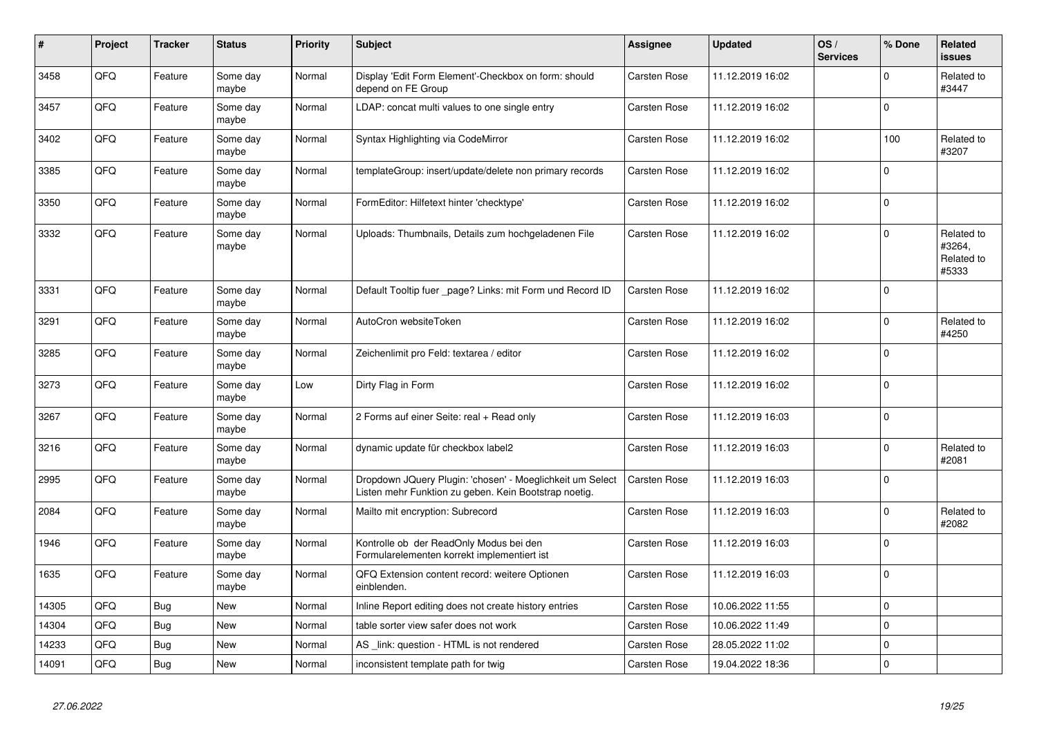| #     | Project | <b>Tracker</b> | <b>Status</b>     | <b>Priority</b> | <b>Subject</b>                                                                                                     | <b>Assignee</b>     | <b>Updated</b>   | OS/<br><b>Services</b> | % Done         | Related<br>issues                           |
|-------|---------|----------------|-------------------|-----------------|--------------------------------------------------------------------------------------------------------------------|---------------------|------------------|------------------------|----------------|---------------------------------------------|
| 3458  | QFQ     | Feature        | Some day<br>maybe | Normal          | Display 'Edit Form Element'-Checkbox on form: should<br>depend on FE Group                                         | Carsten Rose        | 11.12.2019 16:02 |                        | $\Omega$       | Related to<br>#3447                         |
| 3457  | QFQ     | Feature        | Some day<br>maybe | Normal          | LDAP: concat multi values to one single entry                                                                      | Carsten Rose        | 11.12.2019 16:02 |                        | $\Omega$       |                                             |
| 3402  | QFQ     | Feature        | Some day<br>maybe | Normal          | Syntax Highlighting via CodeMirror                                                                                 | Carsten Rose        | 11.12.2019 16:02 |                        | 100            | Related to<br>#3207                         |
| 3385  | QFQ     | Feature        | Some day<br>maybe | Normal          | templateGroup: insert/update/delete non primary records                                                            | <b>Carsten Rose</b> | 11.12.2019 16:02 |                        | $\Omega$       |                                             |
| 3350  | QFQ     | Feature        | Some day<br>maybe | Normal          | FormEditor: Hilfetext hinter 'checktype'                                                                           | Carsten Rose        | 11.12.2019 16:02 |                        | $\mathbf{0}$   |                                             |
| 3332  | QFQ     | Feature        | Some day<br>maybe | Normal          | Uploads: Thumbnails, Details zum hochgeladenen File                                                                | Carsten Rose        | 11.12.2019 16:02 |                        | $\Omega$       | Related to<br>#3264,<br>Related to<br>#5333 |
| 3331  | QFQ     | Feature        | Some day<br>maybe | Normal          | Default Tooltip fuer _page? Links: mit Form und Record ID                                                          | <b>Carsten Rose</b> | 11.12.2019 16:02 |                        | $\Omega$       |                                             |
| 3291  | QFQ     | Feature        | Some day<br>maybe | Normal          | AutoCron websiteToken                                                                                              | Carsten Rose        | 11.12.2019 16:02 |                        | $\mathbf{0}$   | Related to<br>#4250                         |
| 3285  | QFQ     | Feature        | Some day<br>maybe | Normal          | Zeichenlimit pro Feld: textarea / editor                                                                           | Carsten Rose        | 11.12.2019 16:02 |                        | $\Omega$       |                                             |
| 3273  | QFQ     | Feature        | Some day<br>maybe | Low             | Dirty Flag in Form                                                                                                 | Carsten Rose        | 11.12.2019 16:02 |                        | $\Omega$       |                                             |
| 3267  | QFQ     | Feature        | Some day<br>maybe | Normal          | 2 Forms auf einer Seite: real + Read only                                                                          | <b>Carsten Rose</b> | 11.12.2019 16:03 |                        | l n            |                                             |
| 3216  | QFQ     | Feature        | Some day<br>maybe | Normal          | dynamic update für checkbox label2                                                                                 | <b>Carsten Rose</b> | 11.12.2019 16:03 |                        | $\mathbf 0$    | Related to<br>#2081                         |
| 2995  | QFQ     | Feature        | Some day<br>maybe | Normal          | Dropdown JQuery Plugin: 'chosen' - Moeglichkeit um Select<br>Listen mehr Funktion zu geben. Kein Bootstrap noetig. | Carsten Rose        | 11.12.2019 16:03 |                        | $\mathbf{0}$   |                                             |
| 2084  | QFQ     | Feature        | Some day<br>maybe | Normal          | Mailto mit encryption: Subrecord                                                                                   | Carsten Rose        | 11.12.2019 16:03 |                        | $\Omega$       | Related to<br>#2082                         |
| 1946  | QFQ     | Feature        | Some day<br>maybe | Normal          | Kontrolle ob der ReadOnly Modus bei den<br>Formularelementen korrekt implementiert ist                             | Carsten Rose        | 11.12.2019 16:03 |                        | $\Omega$       |                                             |
| 1635  | QFQ     | Feature        | Some day<br>maybe | Normal          | QFQ Extension content record: weitere Optionen<br>einblenden.                                                      | <b>Carsten Rose</b> | 11.12.2019 16:03 |                        | $\overline{0}$ |                                             |
| 14305 | QFQ     | Bug            | <b>New</b>        | Normal          | Inline Report editing does not create history entries                                                              | Carsten Rose        | 10.06.2022 11:55 |                        | $\Omega$       |                                             |
| 14304 | QFQ     | <b>Bug</b>     | New               | Normal          | table sorter view safer does not work                                                                              | <b>Carsten Rose</b> | 10.06.2022 11:49 |                        | $\mathbf 0$    |                                             |
| 14233 | QFQ     | <b>Bug</b>     | <b>New</b>        | Normal          | AS_link: question - HTML is not rendered                                                                           | Carsten Rose        | 28.05.2022 11:02 |                        | $\Omega$       |                                             |
| 14091 | QFQ     | <b>Bug</b>     | <b>New</b>        | Normal          | inconsistent template path for twig                                                                                | Carsten Rose        | 19.04.2022 18:36 |                        | l 0            |                                             |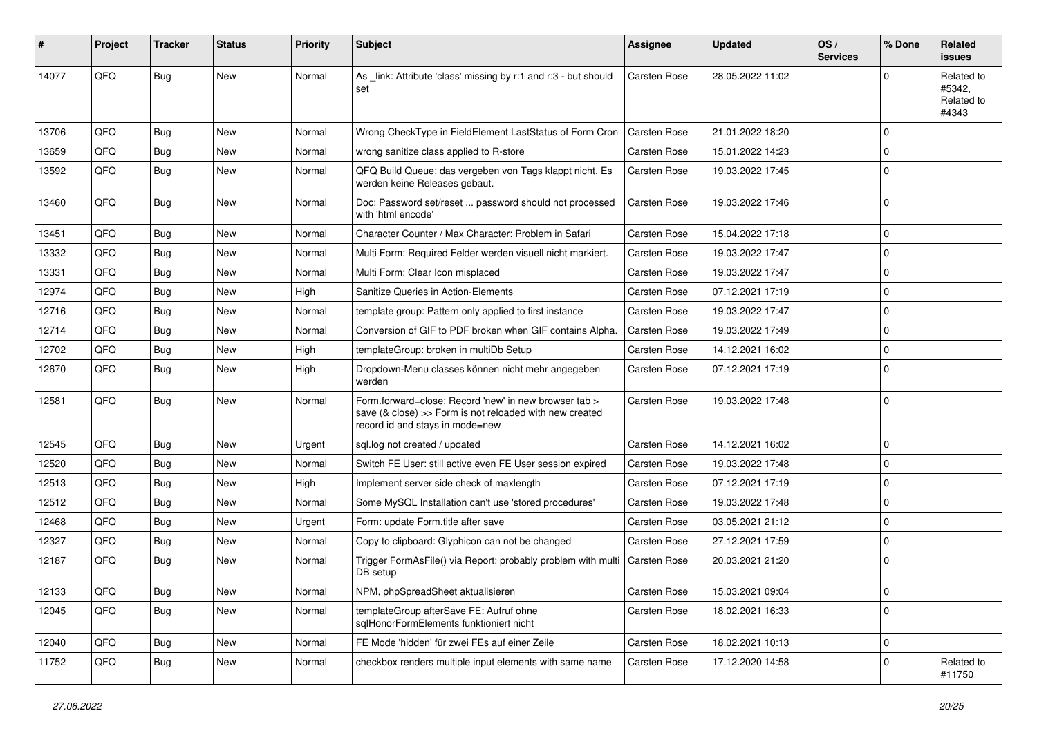| #     | Project | Tracker    | <b>Status</b> | <b>Priority</b> | <b>Subject</b>                                                                                                                                      | Assignee            | <b>Updated</b>   | OS/<br><b>Services</b> | % Done      | Related<br><b>issues</b>                    |
|-------|---------|------------|---------------|-----------------|-----------------------------------------------------------------------------------------------------------------------------------------------------|---------------------|------------------|------------------------|-------------|---------------------------------------------|
| 14077 | QFQ     | Bug        | <b>New</b>    | Normal          | As _link: Attribute 'class' missing by r:1 and r:3 - but should<br>set                                                                              | <b>Carsten Rose</b> | 28.05.2022 11:02 |                        | U           | Related to<br>#5342,<br>Related to<br>#4343 |
| 13706 | QFQ     | Bug        | <b>New</b>    | Normal          | Wrong CheckType in FieldElement LastStatus of Form Cron                                                                                             | <b>Carsten Rose</b> | 21.01.2022 18:20 |                        | $\Omega$    |                                             |
| 13659 | QFQ     | <b>Bug</b> | New           | Normal          | wrong sanitize class applied to R-store                                                                                                             | Carsten Rose        | 15.01.2022 14:23 |                        | $\Omega$    |                                             |
| 13592 | QFQ     | Bug        | New           | Normal          | QFQ Build Queue: das vergeben von Tags klappt nicht. Es<br>werden keine Releases gebaut.                                                            | Carsten Rose        | 19.03.2022 17:45 |                        | $\Omega$    |                                             |
| 13460 | QFQ     | Bug        | <b>New</b>    | Normal          | Doc: Password set/reset  password should not processed<br>with 'html encode'                                                                        | Carsten Rose        | 19.03.2022 17:46 |                        | $\Omega$    |                                             |
| 13451 | QFQ     | Bug        | <b>New</b>    | Normal          | Character Counter / Max Character: Problem in Safari                                                                                                | Carsten Rose        | 15.04.2022 17:18 |                        | $\Omega$    |                                             |
| 13332 | QFQ     | Bug        | New           | Normal          | Multi Form: Required Felder werden visuell nicht markiert.                                                                                          | Carsten Rose        | 19.03.2022 17:47 |                        | $\Omega$    |                                             |
| 13331 | QFQ     | Bug        | New           | Normal          | Multi Form: Clear Icon misplaced                                                                                                                    | Carsten Rose        | 19.03.2022 17:47 |                        | $\Omega$    |                                             |
| 12974 | QFQ     | Bug        | New           | High            | Sanitize Queries in Action-Elements                                                                                                                 | Carsten Rose        | 07.12.2021 17:19 |                        | $\Omega$    |                                             |
| 12716 | QFQ     | Bug        | <b>New</b>    | Normal          | template group: Pattern only applied to first instance                                                                                              | Carsten Rose        | 19.03.2022 17:47 |                        | $\Omega$    |                                             |
| 12714 | QFQ     | Bug        | New           | Normal          | Conversion of GIF to PDF broken when GIF contains Alpha.                                                                                            | Carsten Rose        | 19.03.2022 17:49 |                        | $\Omega$    |                                             |
| 12702 | QFQ     | <b>Bug</b> | <b>New</b>    | High            | templateGroup: broken in multiDb Setup                                                                                                              | Carsten Rose        | 14.12.2021 16:02 |                        | $\Omega$    |                                             |
| 12670 | QFQ     | Bug        | New           | High            | Dropdown-Menu classes können nicht mehr angegeben<br>werden                                                                                         | Carsten Rose        | 07.12.2021 17:19 |                        | $\Omega$    |                                             |
| 12581 | QFQ     | Bug        | <b>New</b>    | Normal          | Form.forward=close: Record 'new' in new browser tab ><br>save (& close) >> Form is not reloaded with new created<br>record id and stays in mode=new | Carsten Rose        | 19.03.2022 17:48 |                        | $\mathbf 0$ |                                             |
| 12545 | QFQ     | Bug        | <b>New</b>    | Urgent          | sql.log not created / updated                                                                                                                       | <b>Carsten Rose</b> | 14.12.2021 16:02 |                        | $\Omega$    |                                             |
| 12520 | QFQ     | Bug        | New           | Normal          | Switch FE User: still active even FE User session expired                                                                                           | Carsten Rose        | 19.03.2022 17:48 |                        | $\Omega$    |                                             |
| 12513 | QFQ     | <b>Bug</b> | New           | High            | Implement server side check of maxlength                                                                                                            | Carsten Rose        | 07.12.2021 17:19 |                        | $\Omega$    |                                             |
| 12512 | QFQ     | Bug        | New           | Normal          | Some MySQL Installation can't use 'stored procedures'                                                                                               | Carsten Rose        | 19.03.2022 17:48 |                        | $\mathbf 0$ |                                             |
| 12468 | QFQ     | <b>Bug</b> | <b>New</b>    | Urgent          | Form: update Form.title after save                                                                                                                  | Carsten Rose        | 03.05.2021 21:12 |                        | $\Omega$    |                                             |
| 12327 | QFQ     | Bug        | New           | Normal          | Copy to clipboard: Glyphicon can not be changed                                                                                                     | Carsten Rose        | 27.12.2021 17:59 |                        | 0           |                                             |
| 12187 | QFQ     | Bug        | New           | Normal          | Trigger FormAsFile() via Report: probably problem with multi<br>DB setup                                                                            | Carsten Rose        | 20.03.2021 21:20 |                        | $\Omega$    |                                             |
| 12133 | QFQ     | Bug        | New           | Normal          | NPM, phpSpreadSheet aktualisieren                                                                                                                   | Carsten Rose        | 15.03.2021 09:04 |                        | 0           |                                             |
| 12045 | QFQ     | <b>Bug</b> | New           | Normal          | templateGroup afterSave FE: Aufruf ohne<br>sqlHonorFormElements funktioniert nicht                                                                  | Carsten Rose        | 18.02.2021 16:33 |                        | $\Omega$    |                                             |
| 12040 | QFQ     | <b>Bug</b> | New           | Normal          | FE Mode 'hidden' für zwei FEs auf einer Zeile                                                                                                       | Carsten Rose        | 18.02.2021 10:13 |                        | $\mathbf 0$ |                                             |
| 11752 | QFQ     | Bug        | New           | Normal          | checkbox renders multiple input elements with same name                                                                                             | Carsten Rose        | 17.12.2020 14:58 |                        | $\mathbf 0$ | Related to<br>#11750                        |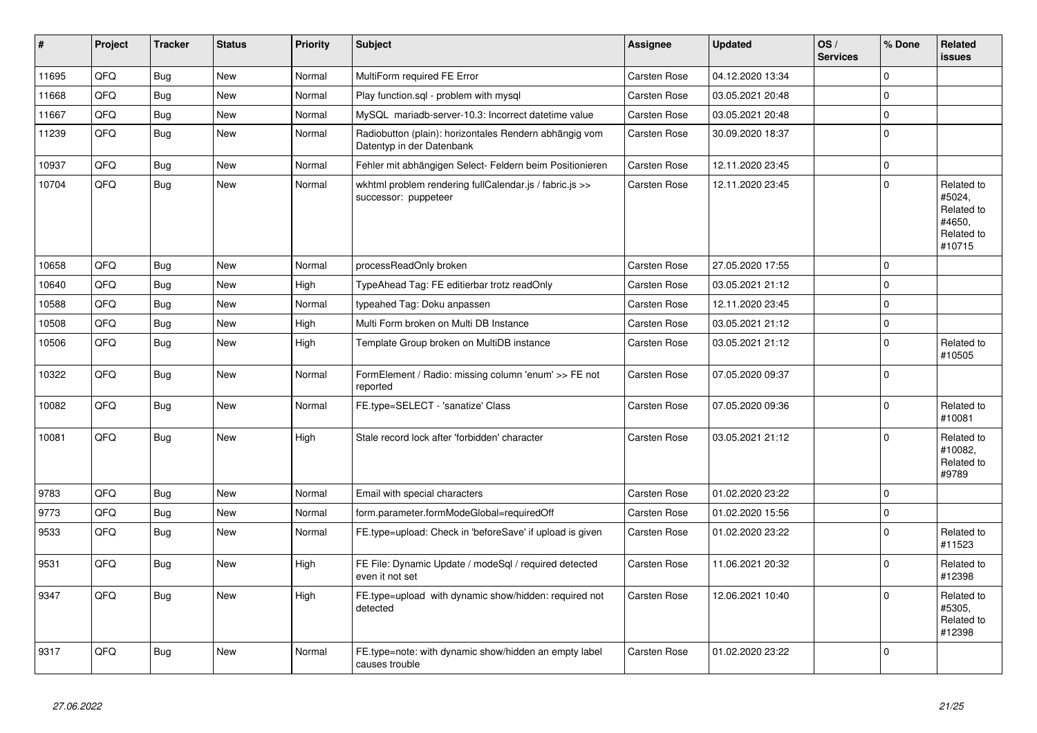| $\vert$ # | Project | <b>Tracker</b> | <b>Status</b> | <b>Priority</b> | <b>Subject</b>                                                                      | <b>Assignee</b>     | <b>Updated</b>   | OS/<br><b>Services</b> | % Done      | Related<br><b>issues</b>                                             |
|-----------|---------|----------------|---------------|-----------------|-------------------------------------------------------------------------------------|---------------------|------------------|------------------------|-------------|----------------------------------------------------------------------|
| 11695     | QFQ     | <b>Bug</b>     | New           | Normal          | MultiForm required FE Error                                                         | Carsten Rose        | 04.12.2020 13:34 |                        | $\Omega$    |                                                                      |
| 11668     | QFQ     | <b>Bug</b>     | New           | Normal          | Play function.sql - problem with mysql                                              | Carsten Rose        | 03.05.2021 20:48 |                        | $\mathbf 0$ |                                                                      |
| 11667     | QFQ     | Bug            | New           | Normal          | MySQL mariadb-server-10.3: Incorrect datetime value                                 | Carsten Rose        | 03.05.2021 20:48 |                        | $\mathbf 0$ |                                                                      |
| 11239     | QFQ     | Bug            | New           | Normal          | Radiobutton (plain): horizontales Rendern abhängig vom<br>Datentyp in der Datenbank | Carsten Rose        | 30.09.2020 18:37 |                        | $\pmb{0}$   |                                                                      |
| 10937     | QFQ     | Bug            | New           | Normal          | Fehler mit abhängigen Select- Feldern beim Positionieren                            | Carsten Rose        | 12.11.2020 23:45 |                        | $\mathbf 0$ |                                                                      |
| 10704     | QFQ     | Bug            | New           | Normal          | wkhtml problem rendering fullCalendar.js / fabric.js >><br>successor: puppeteer     | Carsten Rose        | 12.11.2020 23:45 |                        | $\Omega$    | Related to<br>#5024,<br>Related to<br>#4650,<br>Related to<br>#10715 |
| 10658     | QFQ     | Bug            | <b>New</b>    | Normal          | processReadOnly broken                                                              | <b>Carsten Rose</b> | 27.05.2020 17:55 |                        | $\Omega$    |                                                                      |
| 10640     | QFQ     | <b>Bug</b>     | <b>New</b>    | High            | TypeAhead Tag: FE editierbar trotz readOnly                                         | <b>Carsten Rose</b> | 03.05.2021 21:12 |                        | $\mathbf 0$ |                                                                      |
| 10588     | QFQ     | <b>Bug</b>     | <b>New</b>    | Normal          | typeahed Tag: Doku anpassen                                                         | Carsten Rose        | 12.11.2020 23:45 |                        | $\Omega$    |                                                                      |
| 10508     | QFQ     | <b>Bug</b>     | New           | High            | Multi Form broken on Multi DB Instance                                              | Carsten Rose        | 03.05.2021 21:12 |                        | $\mathbf 0$ |                                                                      |
| 10506     | QFQ     | Bug            | New           | High            | Template Group broken on MultiDB instance                                           | Carsten Rose        | 03.05.2021 21:12 |                        | $\Omega$    | Related to<br>#10505                                                 |
| 10322     | QFQ     | <b>Bug</b>     | <b>New</b>    | Normal          | FormElement / Radio: missing column 'enum' >> FE not<br>reported                    | Carsten Rose        | 07.05.2020 09:37 |                        | $\mathbf 0$ |                                                                      |
| 10082     | QFQ     | Bug            | <b>New</b>    | Normal          | FE.type=SELECT - 'sanatize' Class                                                   | <b>Carsten Rose</b> | 07.05.2020 09:36 |                        | $\mathbf 0$ | Related to<br>#10081                                                 |
| 10081     | QFQ     | Bug            | New           | High            | Stale record lock after 'forbidden' character                                       | Carsten Rose        | 03.05.2021 21:12 |                        | $\Omega$    | Related to<br>#10082,<br>Related to<br>#9789                         |
| 9783      | QFQ     | <b>Bug</b>     | New           | Normal          | Email with special characters                                                       | <b>Carsten Rose</b> | 01.02.2020 23:22 |                        | $\mathbf 0$ |                                                                      |
| 9773      | QFQ     | <b>Bug</b>     | New           | Normal          | form.parameter.formModeGlobal=requiredOff                                           | Carsten Rose        | 01.02.2020 15:56 |                        | $\mathbf 0$ |                                                                      |
| 9533      | QFQ     | <b>Bug</b>     | New           | Normal          | FE.type=upload: Check in 'beforeSave' if upload is given                            | Carsten Rose        | 01.02.2020 23:22 |                        | $\mathbf 0$ | Related to<br>#11523                                                 |
| 9531      | QFQ     | Bug            | <b>New</b>    | High            | FE File: Dynamic Update / modeSql / required detected<br>even it not set            | Carsten Rose        | 11.06.2021 20:32 |                        | $\mathbf 0$ | Related to<br>#12398                                                 |
| 9347      | QFQ     | Bug            | <b>New</b>    | High            | FE.type=upload with dynamic show/hidden: required not<br>detected                   | Carsten Rose        | 12.06.2021 10:40 |                        | $\Omega$    | Related to<br>#5305,<br>Related to<br>#12398                         |
| 9317      | QFQ     | <b>Bug</b>     | New           | Normal          | FE.type=note: with dynamic show/hidden an empty label<br>causes trouble             | Carsten Rose        | 01.02.2020 23:22 |                        | $\mathbf 0$ |                                                                      |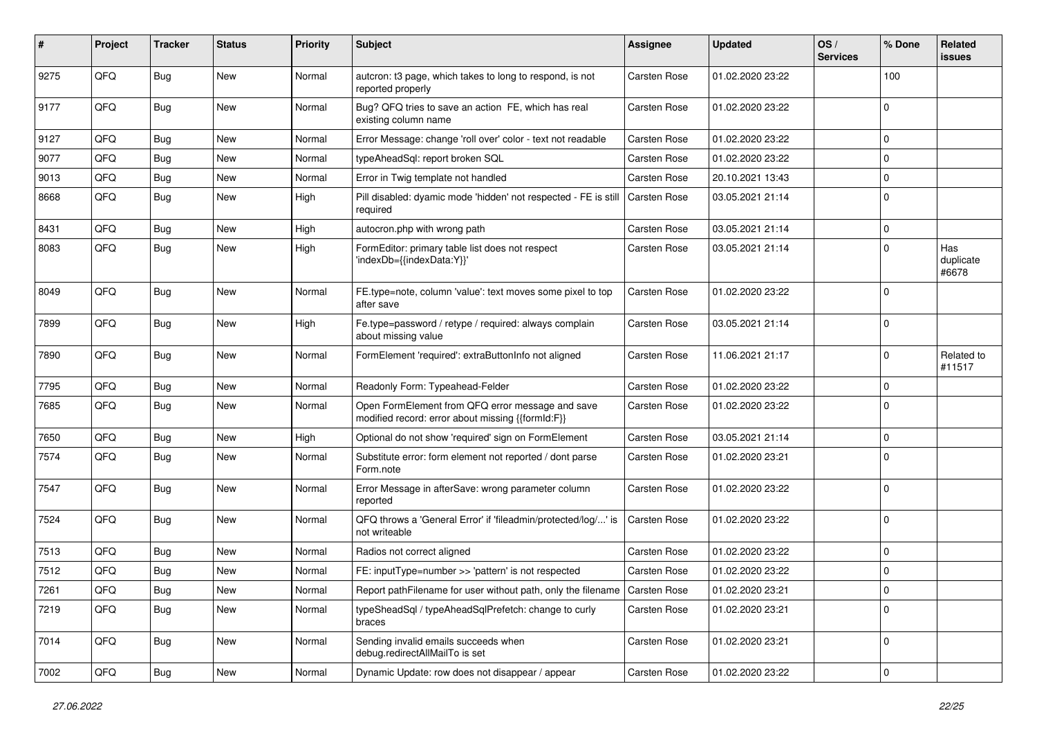| #    | Project | <b>Tracker</b> | <b>Status</b> | <b>Priority</b> | Subject                                                                                               | Assignee            | <b>Updated</b>   | OS/<br><b>Services</b> | % Done      | Related<br>issues         |
|------|---------|----------------|---------------|-----------------|-------------------------------------------------------------------------------------------------------|---------------------|------------------|------------------------|-------------|---------------------------|
| 9275 | QFQ     | Bug            | New           | Normal          | autcron: t3 page, which takes to long to respond, is not<br>reported properly                         | <b>Carsten Rose</b> | 01.02.2020 23:22 |                        | 100         |                           |
| 9177 | QFQ     | Bug            | <b>New</b>    | Normal          | Bug? QFQ tries to save an action FE, which has real<br>existing column name                           | <b>Carsten Rose</b> | 01.02.2020 23:22 |                        | $\mathbf 0$ |                           |
| 9127 | QFQ     | Bug            | New           | Normal          | Error Message: change 'roll over' color - text not readable                                           | Carsten Rose        | 01.02.2020 23:22 |                        | 0           |                           |
| 9077 | QFQ     | Bug            | <b>New</b>    | Normal          | typeAheadSql: report broken SQL                                                                       | Carsten Rose        | 01.02.2020 23:22 |                        | $\Omega$    |                           |
| 9013 | QFQ     | Bug            | <b>New</b>    | Normal          | Error in Twig template not handled                                                                    | <b>Carsten Rose</b> | 20.10.2021 13:43 |                        | $\mathbf 0$ |                           |
| 8668 | QFQ     | Bug            | New           | High            | Pill disabled: dyamic mode 'hidden' not respected - FE is still<br>required                           | <b>Carsten Rose</b> | 03.05.2021 21:14 |                        | $\Omega$    |                           |
| 8431 | QFQ     | Bug            | New           | High            | autocron.php with wrong path                                                                          | Carsten Rose        | 03.05.2021 21:14 |                        | $\mathbf 0$ |                           |
| 8083 | QFQ     | Bug            | <b>New</b>    | High            | FormEditor: primary table list does not respect<br>'indexDb={{indexData:Y}}'                          | <b>Carsten Rose</b> | 03.05.2021 21:14 |                        | $\Omega$    | Has<br>duplicate<br>#6678 |
| 8049 | QFQ     | Bug            | <b>New</b>    | Normal          | FE.type=note, column 'value': text moves some pixel to top<br>after save                              | <b>Carsten Rose</b> | 01.02.2020 23:22 |                        | $\Omega$    |                           |
| 7899 | QFQ     | Bug            | New           | High            | Fe.type=password / retype / required: always complain<br>about missing value                          | Carsten Rose        | 03.05.2021 21:14 |                        | $\Omega$    |                           |
| 7890 | QFQ     | Bug            | New           | Normal          | FormElement 'required': extraButtonInfo not aligned                                                   | Carsten Rose        | 11.06.2021 21:17 |                        | 0           | Related to<br>#11517      |
| 7795 | QFQ     | Bug            | <b>New</b>    | Normal          | Readonly Form: Typeahead-Felder                                                                       | Carsten Rose        | 01.02.2020 23:22 |                        | 0           |                           |
| 7685 | QFQ     | Bug            | New           | Normal          | Open FormElement from QFQ error message and save<br>modified record: error about missing {{formId:F}} | <b>Carsten Rose</b> | 01.02.2020 23:22 |                        | $\mathbf 0$ |                           |
| 7650 | QFQ     | <b>Bug</b>     | New           | High            | Optional do not show 'required' sign on FormElement                                                   | Carsten Rose        | 03.05.2021 21:14 |                        | $\mathbf 0$ |                           |
| 7574 | QFQ     | Bug            | New           | Normal          | Substitute error: form element not reported / dont parse<br>Form.note                                 | Carsten Rose        | 01.02.2020 23:21 |                        | $\mathbf 0$ |                           |
| 7547 | QFQ     | <b>Bug</b>     | <b>New</b>    | Normal          | Error Message in afterSave: wrong parameter column<br>reported                                        | Carsten Rose        | 01.02.2020 23:22 |                        | $\mathbf 0$ |                           |
| 7524 | QFQ     | Bug            | <b>New</b>    | Normal          | QFQ throws a 'General Error' if 'fileadmin/protected/log/' is<br>not writeable                        | Carsten Rose        | 01.02.2020 23:22 |                        | 0           |                           |
| 7513 | QFQ     | Bug            | <b>New</b>    | Normal          | Radios not correct aligned                                                                            | Carsten Rose        | 01.02.2020 23:22 |                        | $\Omega$    |                           |
| 7512 | QFQ     | <b>Bug</b>     | <b>New</b>    | Normal          | FE: inputType=number >> 'pattern' is not respected                                                    | Carsten Rose        | 01.02.2020 23:22 |                        | $\Omega$    |                           |
| 7261 | QFQ     | <b>Bug</b>     | New           | Normal          | Report pathFilename for user without path, only the filename   Carsten Rose                           |                     | 01.02.2020 23:21 |                        | 0           |                           |
| 7219 | QFQ     | Bug            | New           | Normal          | typeSheadSql / typeAheadSqlPrefetch: change to curly<br>braces                                        | Carsten Rose        | 01.02.2020 23:21 |                        | $\mathbf 0$ |                           |
| 7014 | QFQ     | <b>Bug</b>     | New           | Normal          | Sending invalid emails succeeds when<br>debug.redirectAllMailTo is set                                | Carsten Rose        | 01.02.2020 23:21 |                        | $\mathbf 0$ |                           |
| 7002 | QFQ     | <b>Bug</b>     | New           | Normal          | Dynamic Update: row does not disappear / appear                                                       | Carsten Rose        | 01.02.2020 23:22 |                        | $\mathbf 0$ |                           |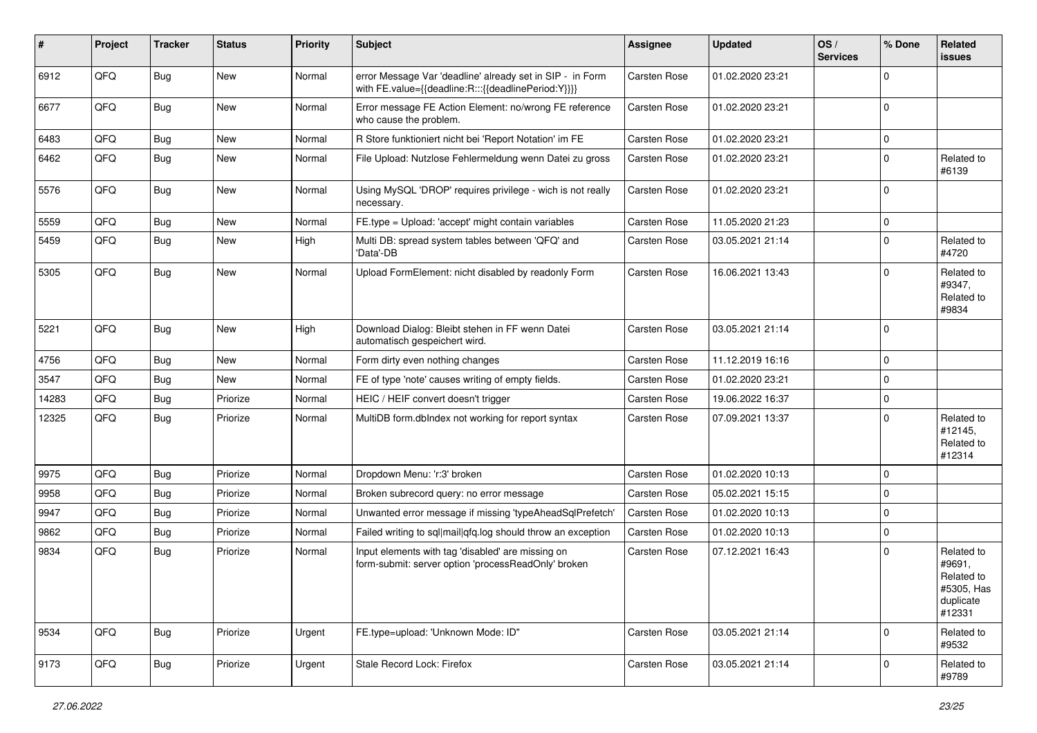| #     | Project | <b>Tracker</b> | <b>Status</b> | <b>Priority</b> | <b>Subject</b>                                                                                                   | <b>Assignee</b>     | <b>Updated</b>   | OS/<br><b>Services</b> | % Done         | Related<br><b>issues</b>                                                |
|-------|---------|----------------|---------------|-----------------|------------------------------------------------------------------------------------------------------------------|---------------------|------------------|------------------------|----------------|-------------------------------------------------------------------------|
| 6912  | QFQ     | <b>Bug</b>     | New           | Normal          | error Message Var 'deadline' already set in SIP - in Form<br>with FE.value={{deadline:R:::{{deadlinePeriod:Y}}}} | <b>Carsten Rose</b> | 01.02.2020 23:21 |                        | $\mathbf 0$    |                                                                         |
| 6677  | QFQ     | Bug            | <b>New</b>    | Normal          | Error message FE Action Element: no/wrong FE reference<br>who cause the problem.                                 | Carsten Rose        | 01.02.2020 23:21 |                        | $\overline{0}$ |                                                                         |
| 6483  | QFQ     | <b>Bug</b>     | <b>New</b>    | Normal          | R Store funktioniert nicht bei 'Report Notation' im FE                                                           | Carsten Rose        | 01.02.2020 23:21 |                        | $\overline{0}$ |                                                                         |
| 6462  | QFQ     | Bug            | New           | Normal          | File Upload: Nutzlose Fehlermeldung wenn Datei zu gross                                                          | Carsten Rose        | 01.02.2020 23:21 |                        | 0              | Related to<br>#6139                                                     |
| 5576  | QFQ     | <b>Bug</b>     | New           | Normal          | Using MySQL 'DROP' requires privilege - wich is not really<br>necessary.                                         | Carsten Rose        | 01.02.2020 23:21 |                        | $\overline{0}$ |                                                                         |
| 5559  | QFQ     | <b>Bug</b>     | New           | Normal          | FE.type = Upload: 'accept' might contain variables                                                               | Carsten Rose        | 11.05.2020 21:23 |                        | $\overline{0}$ |                                                                         |
| 5459  | QFQ     | Bug            | <b>New</b>    | High            | Multi DB: spread system tables between 'QFQ' and<br>'Data'-DB                                                    | Carsten Rose        | 03.05.2021 21:14 |                        | $\overline{0}$ | Related to<br>#4720                                                     |
| 5305  | QFQ     | Bug            | New           | Normal          | Upload FormElement: nicht disabled by readonly Form                                                              | Carsten Rose        | 16.06.2021 13:43 |                        | 0              | Related to<br>#9347,<br>Related to<br>#9834                             |
| 5221  | QFQ     | Bug            | <b>New</b>    | High            | Download Dialog: Bleibt stehen in FF wenn Datei<br>automatisch gespeichert wird.                                 | <b>Carsten Rose</b> | 03.05.2021 21:14 |                        | $\overline{0}$ |                                                                         |
| 4756  | QFQ     | <b>Bug</b>     | <b>New</b>    | Normal          | Form dirty even nothing changes                                                                                  | Carsten Rose        | 11.12.2019 16:16 |                        | $\overline{0}$ |                                                                         |
| 3547  | QFQ     | <b>Bug</b>     | New           | Normal          | FE of type 'note' causes writing of empty fields.                                                                | Carsten Rose        | 01.02.2020 23:21 |                        | $\overline{0}$ |                                                                         |
| 14283 | QFQ     | Bug            | Priorize      | Normal          | HEIC / HEIF convert doesn't trigger                                                                              | Carsten Rose        | 19.06.2022 16:37 |                        | $\overline{0}$ |                                                                         |
| 12325 | QFQ     | Bug            | Priorize      | Normal          | MultiDB form.dblndex not working for report syntax                                                               | Carsten Rose        | 07.09.2021 13:37 |                        | $\Omega$       | Related to<br>#12145,<br>Related to<br>#12314                           |
| 9975  | QFQ     | <b>Bug</b>     | Priorize      | Normal          | Dropdown Menu: 'r:3' broken                                                                                      | Carsten Rose        | 01.02.2020 10:13 |                        | $\overline{0}$ |                                                                         |
| 9958  | QFQ     | <b>Bug</b>     | Priorize      | Normal          | Broken subrecord query: no error message                                                                         | Carsten Rose        | 05.02.2021 15:15 |                        | $\overline{0}$ |                                                                         |
| 9947  | QFQ     | <b>Bug</b>     | Priorize      | Normal          | Unwanted error message if missing 'typeAheadSqlPrefetch'                                                         | Carsten Rose        | 01.02.2020 10:13 |                        | 0              |                                                                         |
| 9862  | QFQ     | <b>Bug</b>     | Priorize      | Normal          | Failed writing to sql mail qfq.log should throw an exception                                                     | Carsten Rose        | 01.02.2020 10:13 |                        | $\overline{0}$ |                                                                         |
| 9834  | QFQ     | <b>Bug</b>     | Priorize      | Normal          | Input elements with tag 'disabled' are missing on<br>form-submit: server option 'processReadOnly' broken         | Carsten Rose        | 07.12.2021 16:43 |                        | $\mathbf 0$    | Related to<br>#9691,<br>Related to<br>#5305, Has<br>duplicate<br>#12331 |
| 9534  | QFQ     | <b>Bug</b>     | Priorize      | Urgent          | FE.type=upload: 'Unknown Mode: ID"                                                                               | Carsten Rose        | 03.05.2021 21:14 |                        | $\overline{0}$ | Related to<br>#9532                                                     |
| 9173  | QFQ     | <b>Bug</b>     | Priorize      | Urgent          | Stale Record Lock: Firefox                                                                                       | Carsten Rose        | 03.05.2021 21:14 |                        | 0              | Related to<br>#9789                                                     |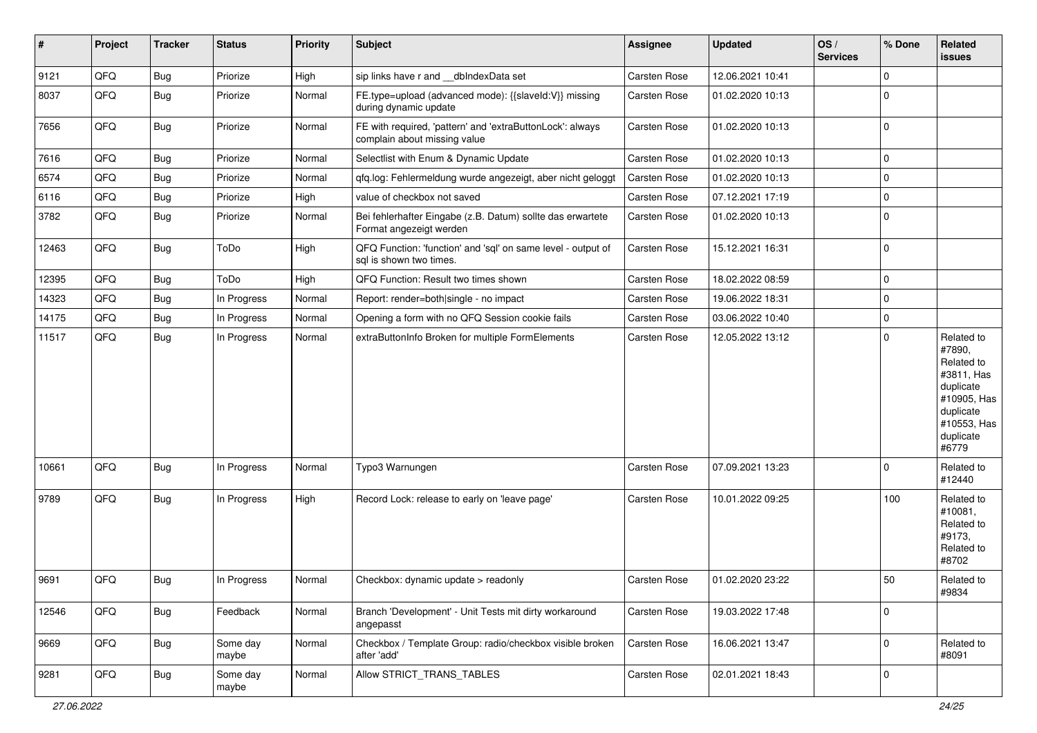| #     | Project | <b>Tracker</b> | <b>Status</b>     | <b>Priority</b> | <b>Subject</b>                                                                            | Assignee     | <b>Updated</b>   | OS/<br><b>Services</b> | % Done      | Related<br>issues                                                                                                              |
|-------|---------|----------------|-------------------|-----------------|-------------------------------------------------------------------------------------------|--------------|------------------|------------------------|-------------|--------------------------------------------------------------------------------------------------------------------------------|
| 9121  | QFQ     | Bug            | Priorize          | High            | sip links have r and __dbIndexData set                                                    | Carsten Rose | 12.06.2021 10:41 |                        | $\Omega$    |                                                                                                                                |
| 8037  | QFQ     | <b>Bug</b>     | Priorize          | Normal          | FE.type=upload (advanced mode): {{slaveld:V}} missing<br>during dynamic update            | Carsten Rose | 01.02.2020 10:13 |                        | $\Omega$    |                                                                                                                                |
| 7656  | QFQ     | Bug            | Priorize          | Normal          | FE with required, 'pattern' and 'extraButtonLock': always<br>complain about missing value | Carsten Rose | 01.02.2020 10:13 |                        | $\mathbf 0$ |                                                                                                                                |
| 7616  | QFQ     | <b>Bug</b>     | Priorize          | Normal          | Selectlist with Enum & Dynamic Update                                                     | Carsten Rose | 01.02.2020 10:13 |                        | $\mathbf 0$ |                                                                                                                                |
| 6574  | QFQ     | Bug            | Priorize          | Normal          | qfq.log: Fehlermeldung wurde angezeigt, aber nicht geloggt                                | Carsten Rose | 01.02.2020 10:13 |                        | $\mathbf 0$ |                                                                                                                                |
| 6116  | QFQ     | Bug            | Priorize          | High            | value of checkbox not saved                                                               | Carsten Rose | 07.12.2021 17:19 |                        | $\Omega$    |                                                                                                                                |
| 3782  | QFQ     | <b>Bug</b>     | Priorize          | Normal          | Bei fehlerhafter Eingabe (z.B. Datum) sollte das erwartete<br>Format angezeigt werden     | Carsten Rose | 01.02.2020 10:13 |                        | $\Omega$    |                                                                                                                                |
| 12463 | QFQ     | <b>Bug</b>     | ToDo              | High            | QFQ Function: 'function' and 'sql' on same level - output of<br>sal is shown two times.   | Carsten Rose | 15.12.2021 16:31 |                        | $\Omega$    |                                                                                                                                |
| 12395 | QFQ     | Bug            | ToDo              | High            | QFQ Function: Result two times shown                                                      | Carsten Rose | 18.02.2022 08:59 |                        | $\mathbf 0$ |                                                                                                                                |
| 14323 | QFQ     | <b>Bug</b>     | In Progress       | Normal          | Report: render=both single - no impact                                                    | Carsten Rose | 19.06.2022 18:31 |                        | $\mathbf 0$ |                                                                                                                                |
| 14175 | QFQ     | Bug            | In Progress       | Normal          | Opening a form with no QFQ Session cookie fails                                           | Carsten Rose | 03.06.2022 10:40 |                        | $\mathbf 0$ |                                                                                                                                |
| 11517 | QFQ     | <b>Bug</b>     | In Progress       | Normal          | extraButtonInfo Broken for multiple FormElements                                          | Carsten Rose | 12.05.2022 13:12 |                        | $\Omega$    | Related to<br>#7890,<br>Related to<br>#3811, Has<br>duplicate<br>#10905, Has<br>duplicate<br>#10553, Has<br>duplicate<br>#6779 |
| 10661 | QFQ     | Bug            | In Progress       | Normal          | Typo3 Warnungen                                                                           | Carsten Rose | 07.09.2021 13:23 |                        | $\Omega$    | Related to<br>#12440                                                                                                           |
| 9789  | QFQ     | <b>Bug</b>     | In Progress       | High            | Record Lock: release to early on 'leave page'                                             | Carsten Rose | 10.01.2022 09:25 |                        | 100         | Related to<br>#10081,<br>Related to<br>#9173,<br>Related to<br>#8702                                                           |
| 9691  | QFQ     | <b>Bug</b>     | In Progress       | Normal          | Checkbox: dynamic update > readonly                                                       | Carsten Rose | 01.02.2020 23:22 |                        | 50          | Related to<br>#9834                                                                                                            |
| 12546 | QFQ     | <b>Bug</b>     | Feedback          | Normal          | Branch 'Development' - Unit Tests mit dirty workaround<br>angepasst                       | Carsten Rose | 19.03.2022 17:48 |                        | $\mathbf 0$ |                                                                                                                                |
| 9669  | QFQ     | Bug            | Some day<br>maybe | Normal          | Checkbox / Template Group: radio/checkbox visible broken<br>after 'add'                   | Carsten Rose | 16.06.2021 13:47 |                        | $\mathbf 0$ | Related to<br>#8091                                                                                                            |
| 9281  | QFQ     | <b>Bug</b>     | Some day<br>maybe | Normal          | Allow STRICT TRANS TABLES                                                                 | Carsten Rose | 02.01.2021 18:43 |                        | 0           |                                                                                                                                |